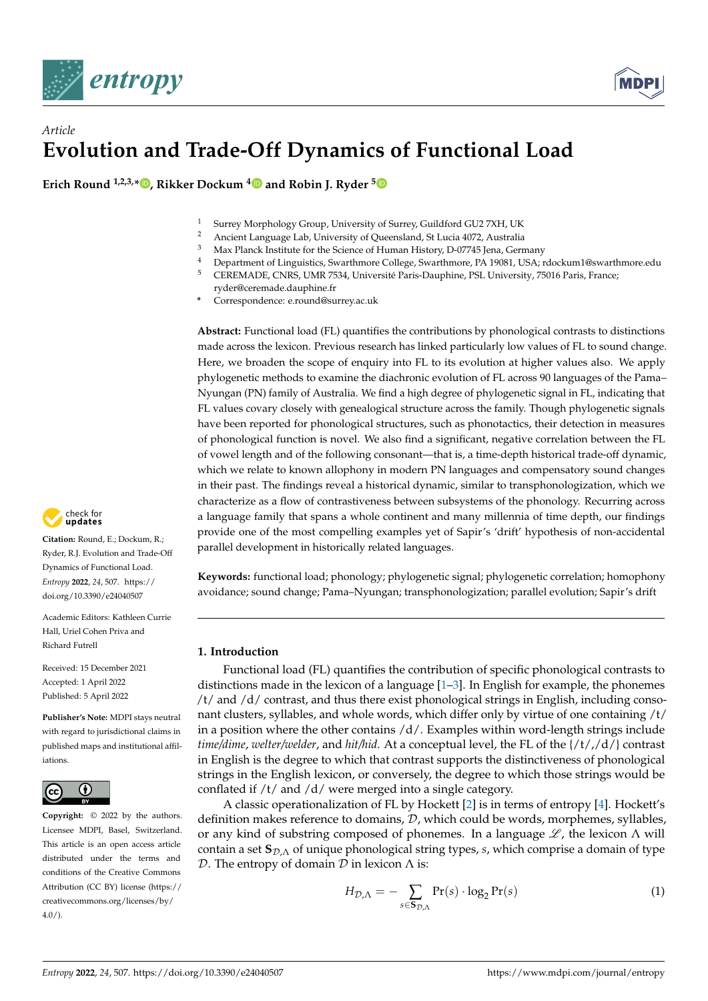

# *Article* **Evolution and Trade-Off Dynamics of Functional Load**

**Erich Round 1,2,3,\* [,](https://orcid.org/0000-0002-7533-8052) Rikker Dockum [4](https://orcid.org/0000-0002-6640-808X) and Robin J. Ryder [5](https://orcid.org/0000-0002-7467-0467)**

- <sup>1</sup> Surrey Morphology Group, University of Surrey, Guildford GU2 7XH, UK
- 2 Ancient Language Lab, University of Queensland, St Lucia 4072, Australia<br>3 Mai: Planek Institute for the Grimma of Universe Listens D. 97745 Luce Grund
- <sup>3</sup> Max Planck Institute for the Science of Human History, D-07745 Jena, Germany
- 4 Department of Linguistics, Swarthmore College, Swarthmore, PA 19081, USA; rdockum1@swarthmore.edu<br>5 CEREMADE CNRS JJMR 7534 Université Paris-Dauphine, PSL University, 75016 Paris, France:
- <sup>5</sup> CEREMADE, CNRS, UMR 7534, Université Paris-Dauphine, PSL University, 75016 Paris, France;
	- ryder@ceremade.dauphine.fr
- **\*** Correspondence: e.round@surrey.ac.uk

**Abstract:** Functional load (FL) quantifies the contributions by phonological contrasts to distinctions made across the lexicon. Previous research has linked particularly low values of FL to sound change. Here, we broaden the scope of enquiry into FL to its evolution at higher values also. We apply phylogenetic methods to examine the diachronic evolution of FL across 90 languages of the Pama– Nyungan (PN) family of Australia. We find a high degree of phylogenetic signal in FL, indicating that FL values covary closely with genealogical structure across the family. Though phylogenetic signals have been reported for phonological structures, such as phonotactics, their detection in measures of phonological function is novel. We also find a significant, negative correlation between the FL of vowel length and of the following consonant—that is, a time-depth historical trade-off dynamic, which we relate to known allophony in modern PN languages and compensatory sound changes in their past. The findings reveal a historical dynamic, similar to transphonologization, which we characterize as a flow of contrastiveness between subsystems of the phonology. Recurring across a language family that spans a whole continent and many millennia of time depth, our findings provide one of the most compelling examples yet of Sapir's 'drift' hypothesis of non-accidental parallel development in historically related languages.

**Keywords:** functional load; phonology; phylogenetic signal; phylogenetic correlation; homophony avoidance; sound change; Pama–Nyungan; transphonologization; parallel evolution; Sapir's drift

## **1. Introduction**

Functional load (FL) quantifies the contribution of specific phonological contrasts to distinctions made in the lexicon of a language  $[1-3]$  $[1-3]$ . In English for example, the phonemes /t/ and /d/ contrast, and thus there exist phonological strings in English, including consonant clusters, syllables, and whole words, which differ only by virtue of one containing /t/ in a position where the other contains  $/d/$ . Examples within word-length strings include *time/dime*, *welter/welder*, and *hit/hid*. At a conceptual level, the FL of the {/t/,/d/} contrast in English is the degree to which that contrast supports the distinctiveness of phonological strings in the English lexicon, or conversely, the degree to which those strings would be conflated if /t/ and /d/ were merged into a single category.

A classic operationalization of FL by Hockett [\[2\]](#page-14-2) is in terms of entropy [\[4\]](#page-14-3). Hockett's definition makes reference to domains, D, which could be words, morphemes, syllables, or any kind of substring composed of phonemes. In a language  $\mathscr{L}$ , the lexicon  $\Lambda$  will contain a set S<sub>D,Λ</sub> of unique phonological string types, *s*, which comprise a domain of type D. The entropy of domain  $D$  in lexicon  $Λ$  is:

$$
H_{\mathcal{D},\Lambda} = -\sum_{s \in \mathbf{S}_{\mathcal{D},\Lambda}} \Pr(s) \cdot \log_2 \Pr(s)
$$
 (1)



**Citation:** Round, E.; Dockum, R.; Ryder, R.J. Evolution and Trade-Off Dynamics of Functional Load. *Entropy* **2022**, *24*, 507. [https://](https://doi.org/10.3390/e24040507) [doi.org/10.3390/e24040507](https://doi.org/10.3390/e24040507)

Academic Editors: Kathleen Currie Hall, Uriel Cohen Priva and Richard Futrell

Received: 15 December 2021 Accepted: 1 April 2022 Published: 5 April 2022

**Publisher's Note:** MDPI stays neutral with regard to jurisdictional claims in published maps and institutional affiliations.



**Copyright:** © 2022 by the authors. Licensee MDPI, Basel, Switzerland. This article is an open access article distributed under the terms and conditions of the Creative Commons Attribution (CC BY) license [\(https://](https://creativecommons.org/licenses/by/4.0/) [creativecommons.org/licenses/by/](https://creativecommons.org/licenses/by/4.0/)  $4.0/$ ).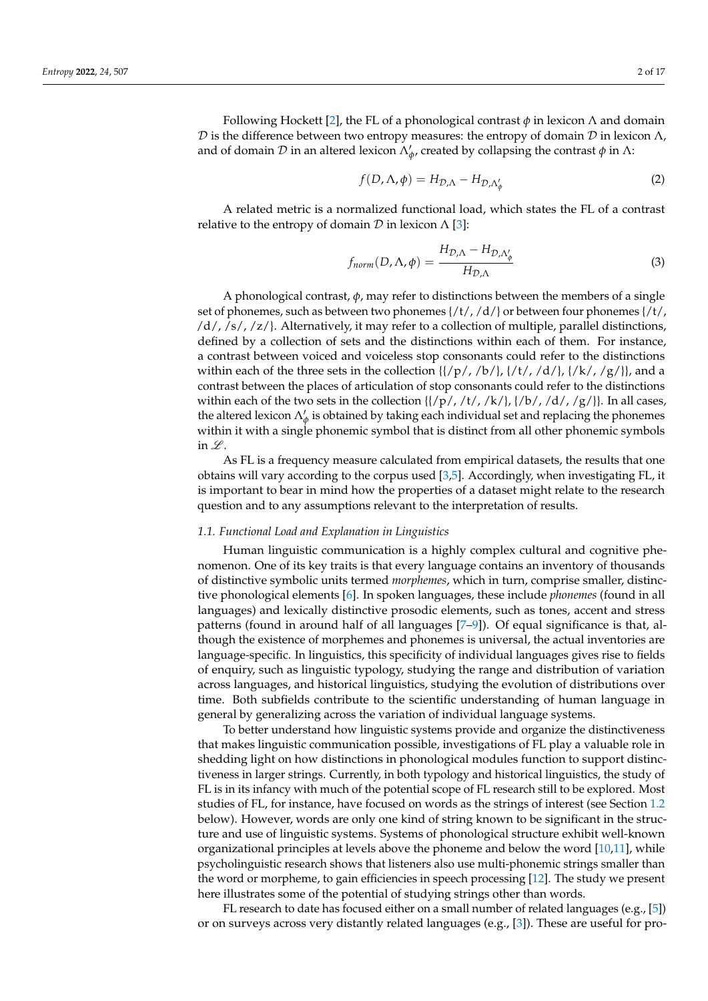Following Hockett [\[2\]](#page-14-2), the FL of a phonological contrast *φ* in lexicon Λ and domain D is the difference between two entropy measures: the entropy of domain D in lexicon  $\Lambda$ , and of domain  $\mathcal D$  in an altered lexicon  $\Lambda'_\phi$ , created by collapsing the contrast  $\phi$  in  $\Lambda$ :

<span id="page-1-0"></span>
$$
f(D, \Lambda, \phi) = H_{\mathcal{D}, \Lambda} - H_{\mathcal{D}, \Lambda'_\phi}
$$
 (2)

A related metric is a normalized functional load, which states the FL of a contrast relative to the entropy of domain  $D$  in lexicon  $\Lambda$  [\[3\]](#page-14-1):

<span id="page-1-1"></span>
$$
f_{norm}(D,\Lambda,\phi) = \frac{H_{\mathcal{D},\Lambda} - H_{\mathcal{D},\Lambda'_\phi}}{H_{\mathcal{D},\Lambda}}
$$
(3)

A phonological contrast, *φ*, may refer to distinctions between the members of a single set of phonemes, such as between two phonemes  $\frac{t}{t}$ ,  $\frac{d}{s}$  or between four phonemes  $\frac{t}{t}$ , /d/, /s/, /z/}. Alternatively, it may refer to a collection of multiple, parallel distinctions, defined by a collection of sets and the distinctions within each of them. For instance, a contrast between voiced and voiceless stop consonants could refer to the distinctions within each of the three sets in the collection  $\{\frac{\rho}{\rho}$ ,  $\frac{\rho}{\rho}$ ,  $\frac{\rho}{\rho}$ ,  $\frac{\rho}{\rho}$ ,  $\frac{\rho}{\rho}$ ,  $\frac{\rho}{\rho}$ , and a contrast between the places of articulation of stop consonants could refer to the distinctions within each of the two sets in the collection  $\{\frac{1}{p}, \frac{t}{, \frac{k}{, \frac{t}{, \frac{t}{, \frac{t}{, \frac{t}{, \frac{t}{, \frac{t}{, \frac{t}{, \frac{t}{, \frac{t}{, \frac{t}{, \frac{t}{, \frac{t}{, \frac{t}{, \frac{t}{, \frac{t}{, \frac{t}{, \frac{t}{, \frac{t}{, \frac{t}{, \frac{t}{, \frac{t}{, \frac{t}{, \frac{t}{, \frac{t}{, \frac{t}{, \frac{t}{$ the altered lexicon  $\Lambda'_\phi$  is obtained by taking each individual set and replacing the phonemes within it with a single phonemic symbol that is distinct from all other phonemic symbols in  $\mathscr{L}$ .

As FL is a frequency measure calculated from empirical datasets, the results that one obtains will vary according to the corpus used [\[3](#page-14-1)[,5\]](#page-14-4). Accordingly, when investigating FL, it is important to bear in mind how the properties of a dataset might relate to the research question and to any assumptions relevant to the interpretation of results.

#### *1.1. Functional Load and Explanation in Linguistics*

Human linguistic communication is a highly complex cultural and cognitive phenomenon. One of its key traits is that every language contains an inventory of thousands of distinctive symbolic units termed *morphemes*, which in turn, comprise smaller, distinctive phonological elements [\[6\]](#page-14-5). In spoken languages, these include *phonemes* (found in all languages) and lexically distinctive prosodic elements, such as tones, accent and stress patterns (found in around half of all languages [\[7](#page-14-6)[–9\]](#page-14-7)). Of equal significance is that, although the existence of morphemes and phonemes is universal, the actual inventories are language-specific. In linguistics, this specificity of individual languages gives rise to fields of enquiry, such as linguistic typology, studying the range and distribution of variation across languages, and historical linguistics, studying the evolution of distributions over time. Both subfields contribute to the scientific understanding of human language in general by generalizing across the variation of individual language systems.

To better understand how linguistic systems provide and organize the distinctiveness that makes linguistic communication possible, investigations of FL play a valuable role in shedding light on how distinctions in phonological modules function to support distinctiveness in larger strings. Currently, in both typology and historical linguistics, the study of FL is in its infancy with much of the potential scope of FL research still to be explored. Most studies of FL, for instance, have focused on words as the strings of interest (see Section [1.2](#page-2-0) below). However, words are only one kind of string known to be significant in the structure and use of linguistic systems. Systems of phonological structure exhibit well-known organizational principles at levels above the phoneme and below the word [\[10,](#page-14-8)[11\]](#page-14-9), while psycholinguistic research shows that listeners also use multi-phonemic strings smaller than the word or morpheme, to gain efficiencies in speech processing [\[12\]](#page-14-10). The study we present here illustrates some of the potential of studying strings other than words.

FL research to date has focused either on a small number of related languages (e.g., [\[5\]](#page-14-4)) or on surveys across very distantly related languages (e.g., [\[3\]](#page-14-1)). These are useful for pro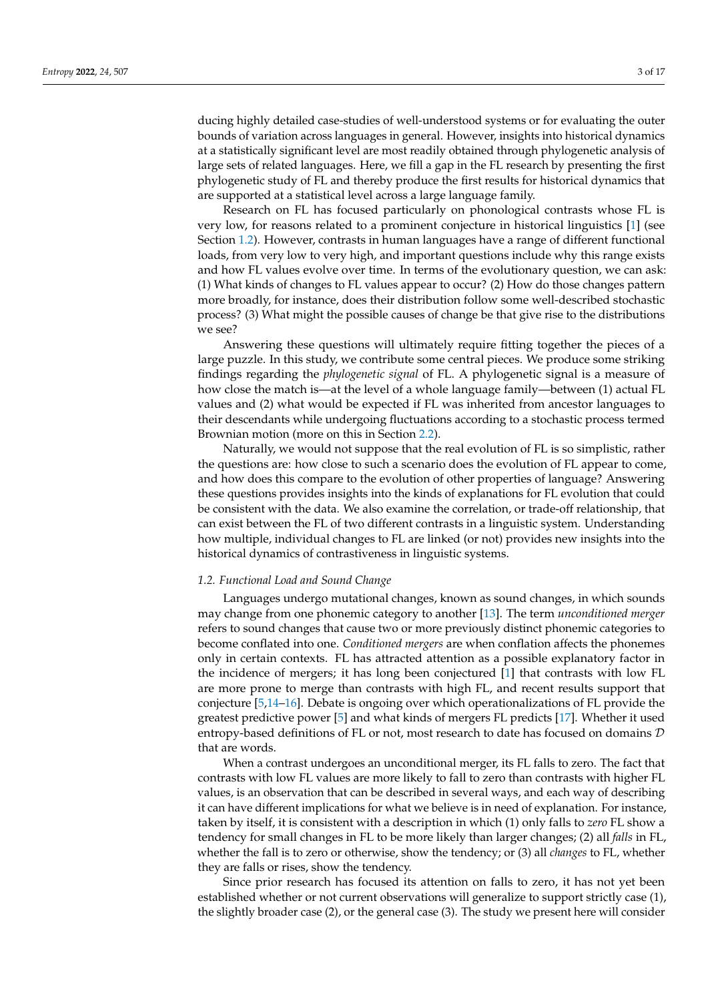ducing highly detailed case-studies of well-understood systems or for evaluating the outer bounds of variation across languages in general. However, insights into historical dynamics at a statistically significant level are most readily obtained through phylogenetic analysis of large sets of related languages. Here, we fill a gap in the FL research by presenting the first phylogenetic study of FL and thereby produce the first results for historical dynamics that are supported at a statistical level across a large language family.

Research on FL has focused particularly on phonological contrasts whose FL is very low, for reasons related to a prominent conjecture in historical linguistics [\[1\]](#page-14-0) (see Section [1.2\)](#page-2-0). However, contrasts in human languages have a range of different functional loads, from very low to very high, and important questions include why this range exists and how FL values evolve over time. In terms of the evolutionary question, we can ask: (1) What kinds of changes to FL values appear to occur? (2) How do those changes pattern more broadly, for instance, does their distribution follow some well-described stochastic process? (3) What might the possible causes of change be that give rise to the distributions we see?

Answering these questions will ultimately require fitting together the pieces of a large puzzle. In this study, we contribute some central pieces. We produce some striking findings regarding the *phylogenetic signal* of FL. A phylogenetic signal is a measure of how close the match is—at the level of a whole language family—between (1) actual FL values and (2) what would be expected if FL was inherited from ancestor languages to their descendants while undergoing fluctuations according to a stochastic process termed Brownian motion (more on this in Section [2.2\)](#page-5-0).

Naturally, we would not suppose that the real evolution of FL is so simplistic, rather the questions are: how close to such a scenario does the evolution of FL appear to come, and how does this compare to the evolution of other properties of language? Answering these questions provides insights into the kinds of explanations for FL evolution that could be consistent with the data. We also examine the correlation, or trade-off relationship, that can exist between the FL of two different contrasts in a linguistic system. Understanding how multiple, individual changes to FL are linked (or not) provides new insights into the historical dynamics of contrastiveness in linguistic systems.

### <span id="page-2-0"></span>*1.2. Functional Load and Sound Change*

Languages undergo mutational changes, known as sound changes, in which sounds may change from one phonemic category to another [\[13\]](#page-14-11). The term *unconditioned merger* refers to sound changes that cause two or more previously distinct phonemic categories to become conflated into one. *Conditioned mergers* are when conflation affects the phonemes only in certain contexts. FL has attracted attention as a possible explanatory factor in the incidence of mergers; it has long been conjectured [\[1\]](#page-14-0) that contrasts with low FL are more prone to merge than contrasts with high FL, and recent results support that conjecture [\[5,](#page-14-4)[14–](#page-14-12)[16\]](#page-14-13). Debate is ongoing over which operationalizations of FL provide the greatest predictive power [\[5\]](#page-14-4) and what kinds of mergers FL predicts [\[17\]](#page-14-14). Whether it used entropy-based definitions of FL or not, most research to date has focused on domains  $D$ that are words.

When a contrast undergoes an unconditional merger, its FL falls to zero. The fact that contrasts with low FL values are more likely to fall to zero than contrasts with higher FL values, is an observation that can be described in several ways, and each way of describing it can have different implications for what we believe is in need of explanation. For instance, taken by itself, it is consistent with a description in which (1) only falls to *zero* FL show a tendency for small changes in FL to be more likely than larger changes; (2) all *falls* in FL, whether the fall is to zero or otherwise, show the tendency; or (3) all *changes* to FL, whether they are falls or rises, show the tendency.

Since prior research has focused its attention on falls to zero, it has not yet been established whether or not current observations will generalize to support strictly case (1), the slightly broader case (2), or the general case (3). The study we present here will consider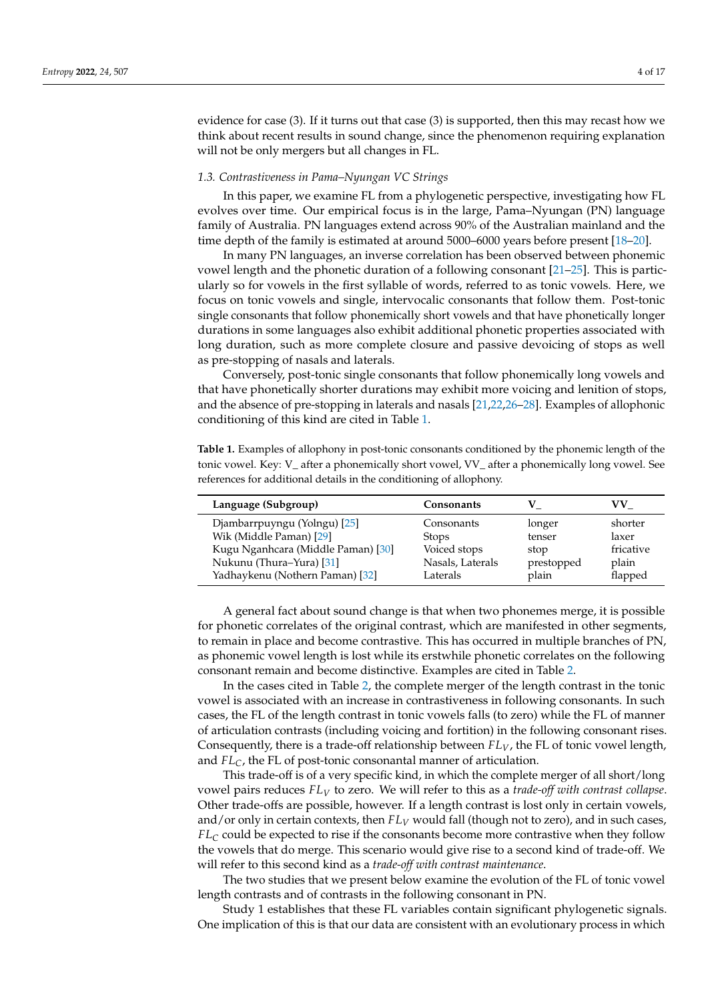evidence for case (3). If it turns out that case (3) is supported, then this may recast how we think about recent results in sound change, since the phenomenon requiring explanation will not be only mergers but all changes in FL.

## *1.3. Contrastiveness in Pama–Nyungan VC Strings*

In this paper, we examine FL from a phylogenetic perspective, investigating how FL evolves over time. Our empirical focus is in the large, Pama–Nyungan (PN) language family of Australia. PN languages extend across 90% of the Australian mainland and the time depth of the family is estimated at around 5000–6000 years before present [\[18–](#page-14-15)[20\]](#page-14-16).

In many PN languages, an inverse correlation has been observed between phonemic vowel length and the phonetic duration of a following consonant [\[21](#page-14-17)[–25\]](#page-15-0). This is particularly so for vowels in the first syllable of words, referred to as tonic vowels. Here, we focus on tonic vowels and single, intervocalic consonants that follow them. Post-tonic single consonants that follow phonemically short vowels and that have phonetically longer durations in some languages also exhibit additional phonetic properties associated with long duration, such as more complete closure and passive devoicing of stops as well as pre-stopping of nasals and laterals.

Conversely, post-tonic single consonants that follow phonemically long vowels and that have phonetically shorter durations may exhibit more voicing and lenition of stops, and the absence of pre-stopping in laterals and nasals [\[21](#page-14-17)[,22,](#page-15-1)[26](#page-15-2)[–28\]](#page-15-3). Examples of allophonic conditioning of this kind are cited in Table [1.](#page-3-0)

<span id="page-3-0"></span>**Table 1.** Examples of allophony in post-tonic consonants conditioned by the phonemic length of the tonic vowel. Key: V\_ after a phonemically short vowel, VV\_ after a phonemically long vowel. See references for additional details in the conditioning of allophony.

| Language (Subgroup)                                           | <b>Consonants</b>            |                | VV.                |
|---------------------------------------------------------------|------------------------------|----------------|--------------------|
| Djambarrpuyngu (Yolngu) [25]                                  | Consonants                   | longer         | shorter            |
| Wik (Middle Paman) [29]<br>Kugu Nganhcara (Middle Paman) [30] | <b>Stops</b><br>Voiced stops | tenser<br>stop | laxer<br>fricative |
| Nukunu (Thura-Yura) [31]                                      | Nasals, Laterals             | prestopped     | plain              |
| Yadhaykenu (Nothern Paman) [32]                               | Laterals                     | plain          | flapped            |

A general fact about sound change is that when two phonemes merge, it is possible for phonetic correlates of the original contrast, which are manifested in other segments, to remain in place and become contrastive. This has occurred in multiple branches of PN, as phonemic vowel length is lost while its erstwhile phonetic correlates on the following consonant remain and become distinctive. Examples are cited in Table [2.](#page-4-0)

In the cases cited in Table [2,](#page-4-0) the complete merger of the length contrast in the tonic vowel is associated with an increase in contrastiveness in following consonants. In such cases, the FL of the length contrast in tonic vowels falls (to zero) while the FL of manner of articulation contrasts (including voicing and fortition) in the following consonant rises. Consequently, there is a trade-off relationship between *FLV*, the FL of tonic vowel length, and *FLC*, the FL of post-tonic consonantal manner of articulation.

This trade-off is of a very specific kind, in which the complete merger of all short/long vowel pairs reduces *FL<sup>V</sup>* to zero. We will refer to this as a *trade-off with contrast collapse*. Other trade-offs are possible, however. If a length contrast is lost only in certain vowels, and/or only in certain contexts, then *FL<sup>V</sup>* would fall (though not to zero), and in such cases, *FL<sup>C</sup>* could be expected to rise if the consonants become more contrastive when they follow the vowels that do merge. This scenario would give rise to a second kind of trade-off. We will refer to this second kind as a *trade-off with contrast maintenance*.

The two studies that we present below examine the evolution of the FL of tonic vowel length contrasts and of contrasts in the following consonant in PN.

Study 1 establishes that these FL variables contain significant phylogenetic signals. One implication of this is that our data are consistent with an evolutionary process in which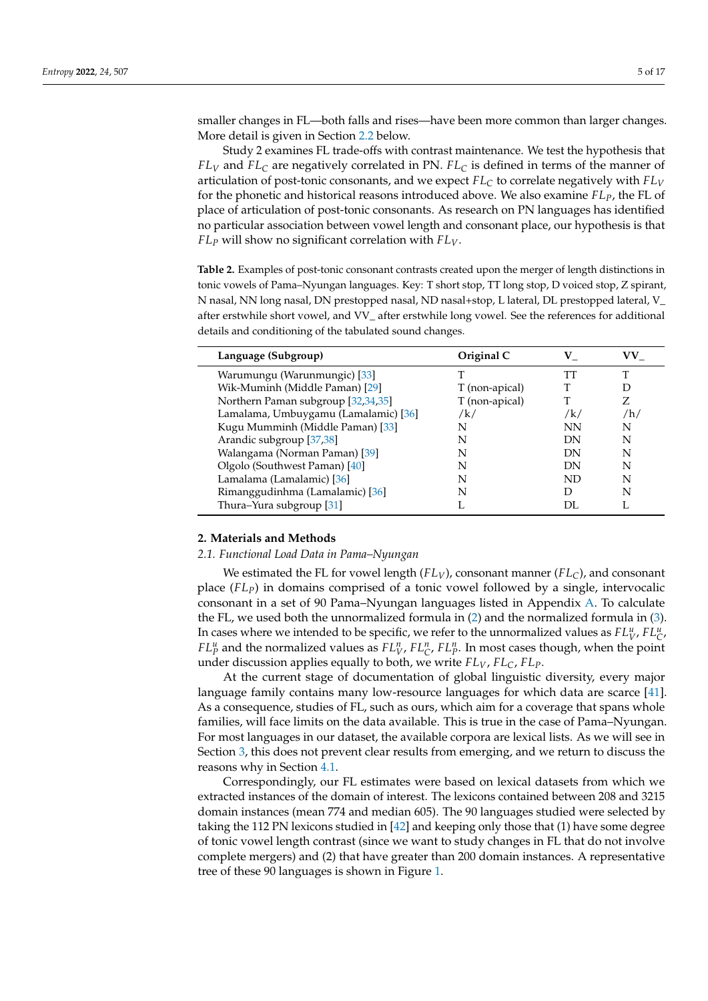smaller changes in FL—both falls and rises—have been more common than larger changes. More detail is given in Section [2.2](#page-5-0) below.

Study 2 examines FL trade-offs with contrast maintenance. We test the hypothesis that *FL<sup>V</sup>* and *FL<sup>C</sup>* are negatively correlated in PN. *FL<sup>C</sup>* is defined in terms of the manner of articulation of post-tonic consonants, and we expect *FL<sup>C</sup>* to correlate negatively with *FL<sup>V</sup>* for the phonetic and historical reasons introduced above. We also examine *FLP*, the FL of place of articulation of post-tonic consonants. As research on PN languages has identified no particular association between vowel length and consonant place, our hypothesis is that *FL<sup>P</sup>* will show no significant correlation with *FLV*.

<span id="page-4-0"></span>**Table 2.** Examples of post-tonic consonant contrasts created upon the merger of length distinctions in tonic vowels of Pama–Nyungan languages. Key: T short stop, TT long stop, D voiced stop, Z spirant, N nasal, NN long nasal, DN prestopped nasal, ND nasal+stop, L lateral, DL prestopped lateral, V\_ after erstwhile short vowel, and VV\_ after erstwhile long vowel. See the references for additional details and conditioning of the tabulated sound changes.

| Language (Subgroup)                  | Original C     | v         | VV. |
|--------------------------------------|----------------|-----------|-----|
| Warumungu (Warunmungic) [33]         |                | TТ        | T   |
| Wik-Muminh (Middle Paman) [29]       | T (non-apical) |           |     |
| Northern Paman subgroup [32,34,35]   | T (non-apical) |           |     |
| Lamalama, Umbuygamu (Lamalamic) [36] | /k/            | /k/       | /h/ |
| Kugu Mumminh (Middle Paman) [33]     | N              | <b>NN</b> | N   |
| Arandic subgroup [37,38]             | N              | DN        | N   |
| Walangama (Norman Paman) [39]        | N              | DN        | N   |
| Olgolo (Southwest Paman) [40]        | N              | DN        | N   |
| Lamalama (Lamalamic) [36]            | N              | ND        | N   |
| Rimanggudinhma (Lamalamic) [36]      | N              | D         | N   |
| Thura-Yura subgroup [31]             |                | DL        |     |

## **2. Materials and Methods**

#### *2.1. Functional Load Data in Pama–Nyungan*

We estimated the FL for vowel length (*FLV*), consonant manner (*FLC*), and consonant place (*FLP*) in domains comprised of a tonic vowel followed by a single, intervocalic consonant in a set of 90 Pama–Nyungan languages listed in Appendix [A.](#page-12-0) To calculate the FL, we used both the unnormalized formula in [\(2\)](#page-1-0) and the normalized formula in [\(3\)](#page-1-1). In cases where we intended to be specific, we refer to the unnormalized values as  $FL^u_V$ ,  $FL^u_C$ , *FL*<sup>*u*</sup><sub>*P*</sub> and the normalized values as  $FL^n_V$ ,  $FL^n_C$ ,  $FL^n_p$ . In most cases though, when the point under discussion applies equally to both, we write *FLV*, *FLC*, *FLP*.

At the current stage of documentation of global linguistic diversity, every major language family contains many low-resource languages for which data are scarce [\[41\]](#page-15-16). As a consequence, studies of FL, such as ours, which aim for a coverage that spans whole families, will face limits on the data available. This is true in the case of Pama–Nyungan. For most languages in our dataset, the available corpora are lexical lists. As we will see in Section [3,](#page-6-0) this does not prevent clear results from emerging, and we return to discuss the reasons why in Section [4.1.](#page-8-0)

Correspondingly, our FL estimates were based on lexical datasets from which we extracted instances of the domain of interest. The lexicons contained between 208 and 3215 domain instances (mean 774 and median 605). The 90 languages studied were selected by taking the 112 PN lexicons studied in [\[42\]](#page-15-17) and keeping only those that (1) have some degree of tonic vowel length contrast (since we want to study changes in FL that do not involve complete mergers) and (2) that have greater than 200 domain instances. A representative tree of these 90 languages is shown in Figure [1.](#page-5-1)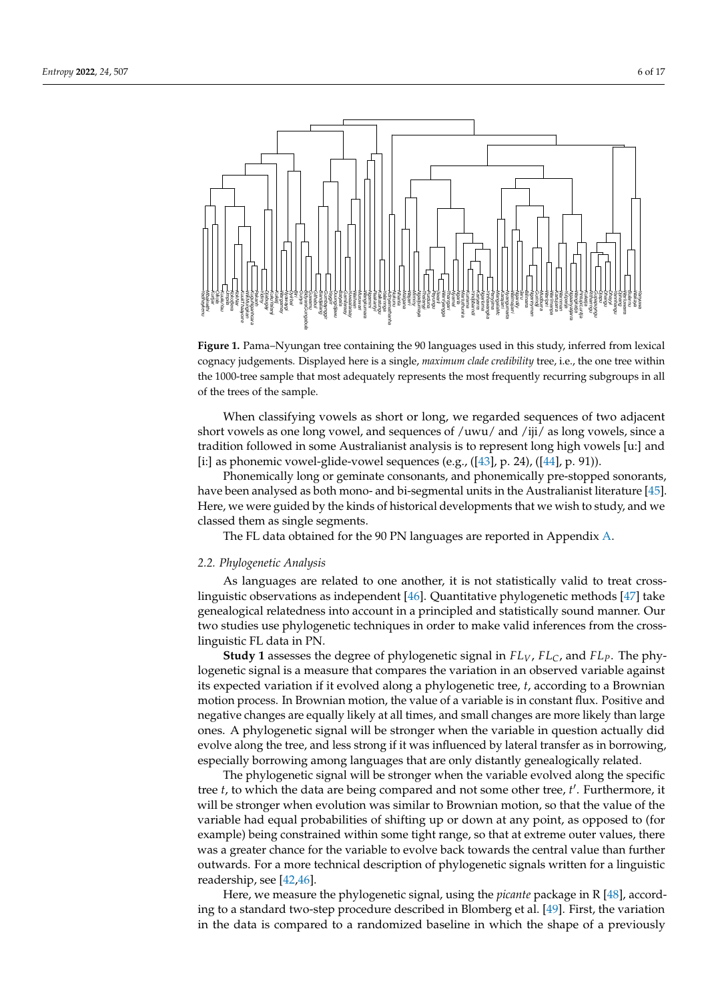<span id="page-5-1"></span>

**Figure 1.** Pama–Nyungan tree containing the 90 languages used in this study, inferred from lexical cognacy judgements. Displayed here is a single, *maximum clade credibility* tree, i.e., the one tree within the 1000-tree sample that most adequately represents the most frequently recurring subgroups in all of the trees of the sample.

When classifying vowels as short or long, we regarded sequences of two adjacent short vowels as one long vowel, and sequences of /uwu/ and /iji/ as long vowels, since a tradition followed in some Australianist analysis is to represent long high vowels [u:] and [i:] as phonemic vowel-glide-vowel sequences (e.g., ([\[43\]](#page-15-18), p. 24), ([\[44\]](#page-15-19), p. 91)).

Phonemically long or geminate consonants, and phonemically pre-stopped sonorants, have been analysed as both mono- and bi-segmental units in the Australianist literature [\[45\]](#page-15-20). Here, we were guided by the kinds of historical developments that we wish to study, and we classed them as single segments.

The FL data obtained for the 90 PN languages are reported in Appendix [A.](#page-12-0)

#### <span id="page-5-0"></span>*2.2. Phylogenetic Analysis*

Yadhaykenu Mbakwithi Kurtjar Olkola KuukuYau Umpila KokoBera KokNar Kuuk I haayorre WikMungkan KuguNganhcara Pakanh Yidiny Djabugay KukuYalanji Kukatj Wargamay Nyawaygi Dyirbal Biri Gunya BidyaraGungabula Guwamu Githabul **Buerefouen** Guwagura yagirra nwelalaunna Batyala Gamilaraay Yuwaalaraay Wailwan Muruwari Wangkumara Ngamini Paakantyi Kalkatungu e*Suureek* Adnyamathanha Nukunu Nhanta Malgana Wajarri Mirniny Ngadjumaya Thalanyji Purduna Payungu Jiwarli Warriyangga Tharrgari Nyamal eue<sub>DN</sub> Martuthunira Kurrama Yindjibarndi Kariyarra Ngarluma **expremering** Panyjima MangalaMc Karajarri Nyangumarta Walmajarri Ngardily Jaru Bilinarra Ngarinyman Gurindji Mudburra Warlpiri Warlmanpa Kartujarra Warnman Yulparija Ngaanyatjarra Wangkatja PintupiLuritja Kukatja Ritharrngu nguyudedno Djapu Dhangu Dhayyi Yannhangu Djinang Warluwarra Bularnu Wakaya Yanyuwa

As languages are related to one another, it is not statistically valid to treat crosslinguistic observations as independent [\[46\]](#page-15-21). Quantitative phylogenetic methods [\[47\]](#page-15-22) take genealogical relatedness into account in a principled and statistically sound manner. Our two studies use phylogenetic techniques in order to make valid inferences from the crosslinguistic FL data in PN.

**Study 1** assesses the degree of phylogenetic signal in *FLV*, *FLC*, and *FLP*. The phylogenetic signal is a measure that compares the variation in an observed variable against its expected variation if it evolved along a phylogenetic tree, *t*, according to a Brownian motion process. In Brownian motion, the value of a variable is in constant flux. Positive and negative changes are equally likely at all times, and small changes are more likely than large ones. A phylogenetic signal will be stronger when the variable in question actually did evolve along the tree, and less strong if it was influenced by lateral transfer as in borrowing, especially borrowing among languages that are only distantly genealogically related.

The phylogenetic signal will be stronger when the variable evolved along the specific tree *t*, to which the data are being compared and not some other tree, *t'*. Furthermore, it will be stronger when evolution was similar to Brownian motion, so that the value of the variable had equal probabilities of shifting up or down at any point, as opposed to (for example) being constrained within some tight range, so that at extreme outer values, there was a greater chance for the variable to evolve back towards the central value than further outwards. For a more technical description of phylogenetic signals written for a linguistic readership, see [\[42,](#page-15-17)[46\]](#page-15-21).

Here, we measure the phylogenetic signal, using the *picante* package in R [\[48\]](#page-15-23), according to a standard two-step procedure described in Blomberg et al. [\[49\]](#page-15-24). First, the variation in the data is compared to a randomized baseline in which the shape of a previously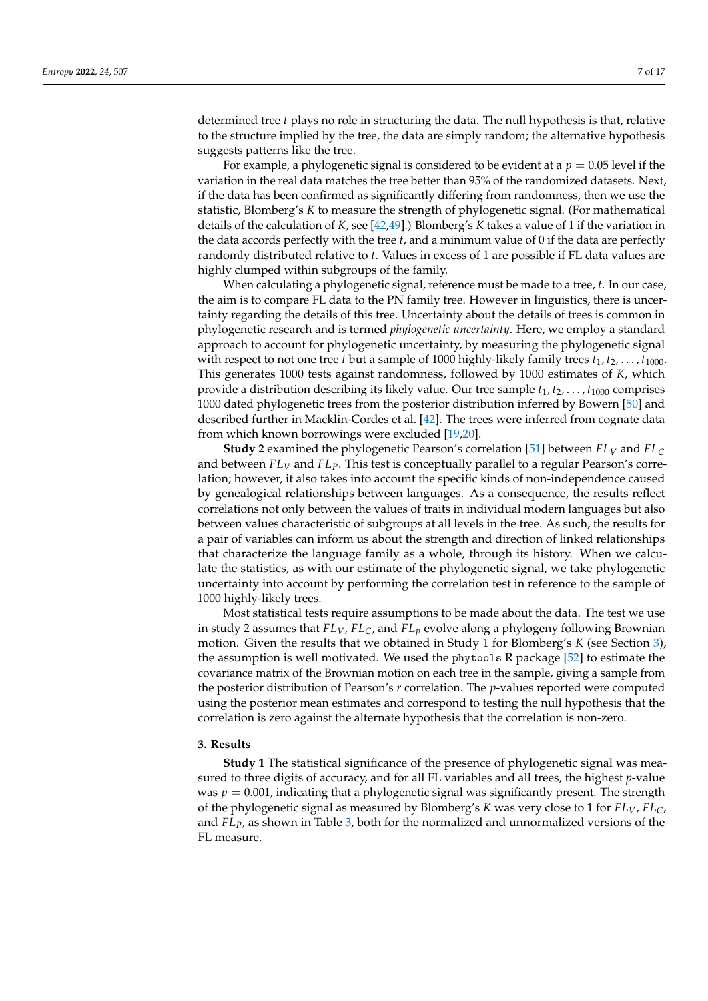determined tree *t* plays no role in structuring the data. The null hypothesis is that, relative to the structure implied by the tree, the data are simply random; the alternative hypothesis suggests patterns like the tree.

For example, a phylogenetic signal is considered to be evident at a  $p = 0.05$  level if the variation in the real data matches the tree better than 95% of the randomized datasets. Next, if the data has been confirmed as significantly differing from randomness, then we use the statistic, Blomberg's *K* to measure the strength of phylogenetic signal. (For mathematical details of the calculation of *K*, see [\[42,](#page-15-17)[49\]](#page-15-24).) Blomberg's *K* takes a value of 1 if the variation in the data accords perfectly with the tree *t*, and a minimum value of 0 if the data are perfectly randomly distributed relative to *t*. Values in excess of 1 are possible if FL data values are highly clumped within subgroups of the family.

When calculating a phylogenetic signal, reference must be made to a tree, *t*. In our case, the aim is to compare FL data to the PN family tree. However in linguistics, there is uncertainty regarding the details of this tree. Uncertainty about the details of trees is common in phylogenetic research and is termed *phylogenetic uncertainty*. Here, we employ a standard approach to account for phylogenetic uncertainty, by measuring the phylogenetic signal with respect to not one tree *t* but a sample of 1000 highly-likely family trees  $t_1, t_2, \ldots, t_{1000}$ . This generates 1000 tests against randomness, followed by 1000 estimates of *K*, which provide a distribution describing its likely value. Our tree sample  $t_1, t_2, \ldots, t_{1000}$  comprises 1000 dated phylogenetic trees from the posterior distribution inferred by Bowern [\[50\]](#page-15-25) and described further in Macklin-Cordes et al. [\[42\]](#page-15-17). The trees were inferred from cognate data from which known borrowings were excluded [\[19,](#page-14-18)[20\]](#page-14-16).

**Study 2** examined the phylogenetic Pearson's correlation [\[51\]](#page-15-26) between *FL<sup>V</sup>* and *FL<sup>C</sup>* and between *FL<sup>V</sup>* and *FLP*. This test is conceptually parallel to a regular Pearson's correlation; however, it also takes into account the specific kinds of non-independence caused by genealogical relationships between languages. As a consequence, the results reflect correlations not only between the values of traits in individual modern languages but also between values characteristic of subgroups at all levels in the tree. As such, the results for a pair of variables can inform us about the strength and direction of linked relationships that characterize the language family as a whole, through its history. When we calculate the statistics, as with our estimate of the phylogenetic signal, we take phylogenetic uncertainty into account by performing the correlation test in reference to the sample of 1000 highly-likely trees.

Most statistical tests require assumptions to be made about the data. The test we use in study 2 assumes that *FLV*, *FLC*, and *FL<sup>p</sup>* evolve along a phylogeny following Brownian motion. Given the results that we obtained in Study 1 for Blomberg's *K* (see Section [3\)](#page-6-0), the assumption is well motivated. We used the phytools R package [\[52\]](#page-15-27) to estimate the covariance matrix of the Brownian motion on each tree in the sample, giving a sample from the posterior distribution of Pearson's *r* correlation. The *p*-values reported were computed using the posterior mean estimates and correspond to testing the null hypothesis that the correlation is zero against the alternate hypothesis that the correlation is non-zero.

#### <span id="page-6-0"></span>**3. Results**

**Study 1** The statistical significance of the presence of phylogenetic signal was measured to three digits of accuracy, and for all FL variables and all trees, the highest *p*-value was  $p = 0.001$ , indicating that a phylogenetic signal was significantly present. The strength of the phylogenetic signal as measured by Blomberg's *K* was very close to 1 for *FLV*, *FLC*, and *FLP*, as shown in Table [3,](#page-7-0) both for the normalized and unnormalized versions of the FL measure.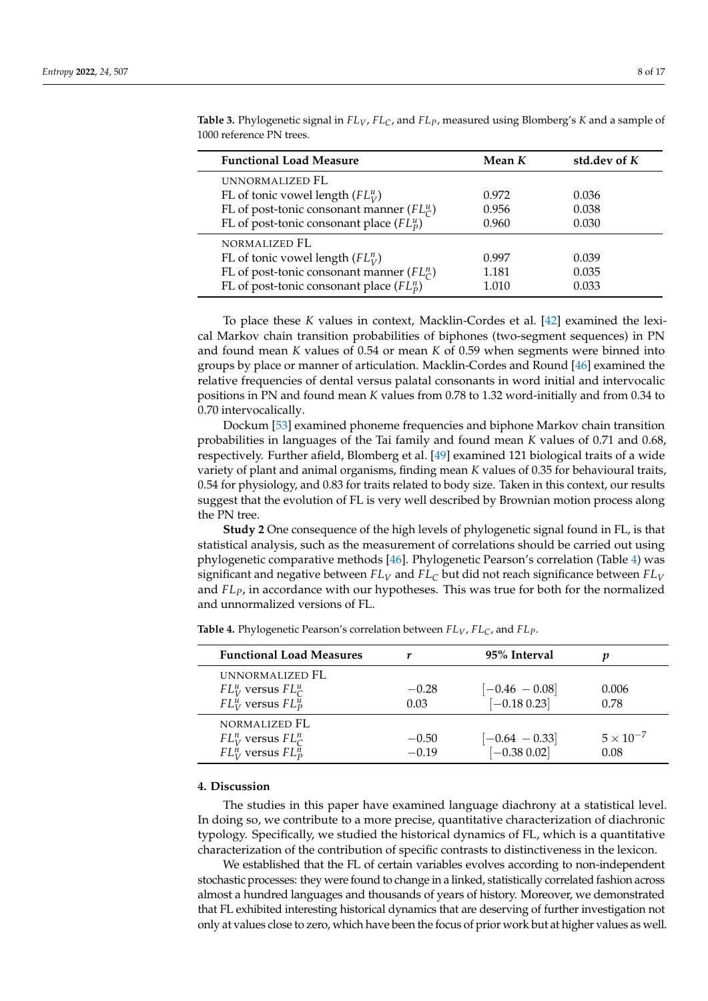| <b>Functional Load Measure</b>                               | Mean K | std.dev of $K$ |
|--------------------------------------------------------------|--------|----------------|
| UNNORMALIZED FL                                              |        |                |
| FL of tonic vowel length $(FL^u_V)$                          | 0.972  | 0.036          |
| FL of post-tonic consonant manner ( $FL_{\mathcal{C}}^{u}$ ) | 0.956  | 0.038          |
| FL of post-tonic consonant place $(FL_p^u)$                  | 0.960  | 0.030          |
| NORMALIZED FL                                                |        |                |
| FL of tonic vowel length $(FL_V^n)$                          | 0.997  | 0.039          |
| FL of post-tonic consonant manner ( $FL^n_C$ )               | 1.181  | 0.035          |
| FL of post-tonic consonant place $(FL_p^n)$                  | 1.010  | 0.033          |

<span id="page-7-0"></span>**Table 3.** Phylogenetic signal in *FLV*, *FLC*, and *FLP*, measured using Blomberg's *K* and a sample of 1000 reference PN trees.

To place these *K* values in context, Macklin-Cordes et al. [\[42\]](#page-15-17) examined the lexical Markov chain transition probabilities of biphones (two-segment sequences) in PN and found mean *K* values of 0.54 or mean *K* of 0.59 when segments were binned into groups by place or manner of articulation. Macklin-Cordes and Round [\[46\]](#page-15-21) examined the relative frequencies of dental versus palatal consonants in word initial and intervocalic positions in PN and found mean *K* values from 0.78 to 1.32 word-initially and from 0.34 to 0.70 intervocalically.

Dockum [\[53\]](#page-16-0) examined phoneme frequencies and biphone Markov chain transition probabilities in languages of the Tai family and found mean *K* values of 0.71 and 0.68, respectively. Further afield, Blomberg et al. [\[49\]](#page-15-24) examined 121 biological traits of a wide variety of plant and animal organisms, finding mean *K* values of 0.35 for behavioural traits, 0.54 for physiology, and 0.83 for traits related to body size. Taken in this context, our results suggest that the evolution of FL is very well described by Brownian motion process along the PN tree.

**Study 2** One consequence of the high levels of phylogenetic signal found in FL, is that statistical analysis, such as the measurement of correlations should be carried out using phylogenetic comparative methods [\[46\]](#page-15-21). Phylogenetic Pearson's correlation (Table [4\)](#page-7-1) was significant and negative between *FL<sup>V</sup>* and *FL<sup>C</sup>* but did not reach significance between *FL<sup>V</sup>* and *FLP*, in accordance with our hypotheses. This was true for both for the normalized and unnormalized versions of FL.

| <b>Functional Load Measures</b>                                                     |                    | 95% Interval                        |                            |
|-------------------------------------------------------------------------------------|--------------------|-------------------------------------|----------------------------|
| UNNORMALIZED FL<br>$FL_V^u$ versus $FL_C^u$<br>$FL_V^u$ versus $FL_P^{\tilde{u}}$   | $-0.28$<br>0.03    | $[-0.46 - 0.08]$<br>$[-0.18\ 0.23]$ | 0.006<br>0.78              |
| NORMALIZED FL<br>$FL_V^n$ versus $FL_C^n$<br>$FL_{V}^{n}$ versus $FL_{p}^{\bar{n}}$ | $-0.50$<br>$-0.19$ | $[-0.64 - 0.33]$<br>$[-0.38 0.02]$  | $5 \times 10^{-7}$<br>0.08 |

<span id="page-7-1"></span>**Table 4.** Phylogenetic Pearson's correlation between *FLV*, *FLC*, and *FLP*.

#### **4. Discussion**

The studies in this paper have examined language diachrony at a statistical level. In doing so, we contribute to a more precise, quantitative characterization of diachronic typology. Specifically, we studied the historical dynamics of FL, which is a quantitative characterization of the contribution of specific contrasts to distinctiveness in the lexicon.

We established that the FL of certain variables evolves according to non-independent stochastic processes: they were found to change in a linked, statistically correlated fashion across almost a hundred languages and thousands of years of history. Moreover, we demonstrated that FL exhibited interesting historical dynamics that are deserving of further investigation not only at values close to zero, which have been the focus of prior work but at higher values as well.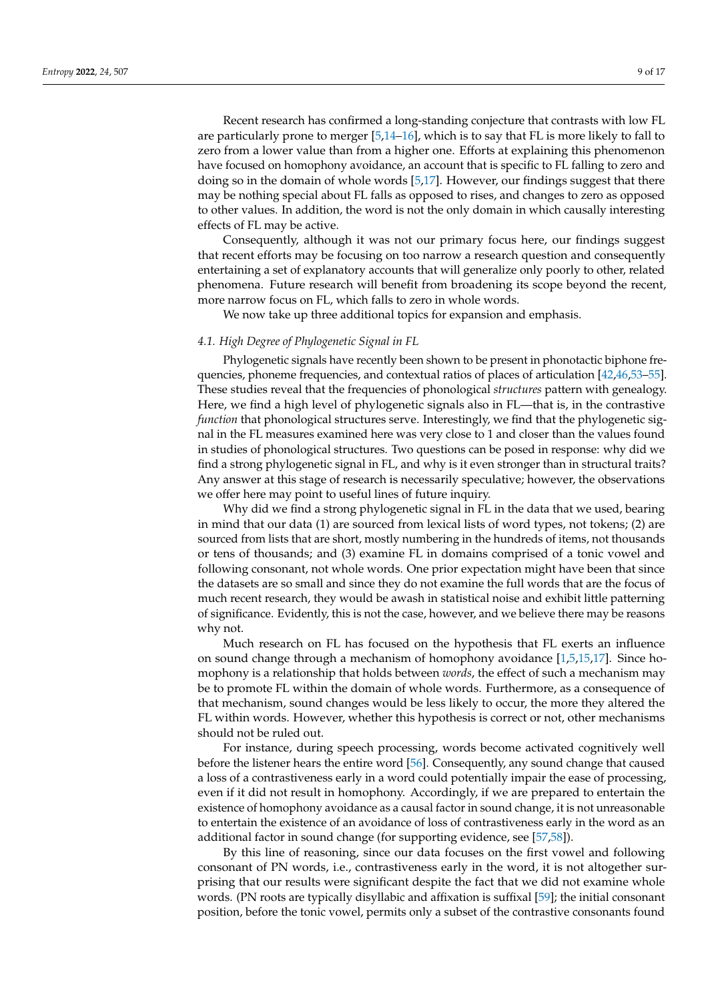Recent research has confirmed a long-standing conjecture that contrasts with low FL are particularly prone to merger [\[5,](#page-14-4)[14](#page-14-12)[–16\]](#page-14-13), which is to say that FL is more likely to fall to zero from a lower value than from a higher one. Efforts at explaining this phenomenon have focused on homophony avoidance, an account that is specific to FL falling to zero and doing so in the domain of whole words [\[5](#page-14-4)[,17\]](#page-14-14). However, our findings suggest that there may be nothing special about FL falls as opposed to rises, and changes to zero as opposed to other values. In addition, the word is not the only domain in which causally interesting effects of FL may be active.

Consequently, although it was not our primary focus here, our findings suggest that recent efforts may be focusing on too narrow a research question and consequently entertaining a set of explanatory accounts that will generalize only poorly to other, related phenomena. Future research will benefit from broadening its scope beyond the recent, more narrow focus on FL, which falls to zero in whole words.

We now take up three additional topics for expansion and emphasis.

#### <span id="page-8-0"></span>*4.1. High Degree of Phylogenetic Signal in FL*

Phylogenetic signals have recently been shown to be present in phonotactic biphone frequencies, phoneme frequencies, and contextual ratios of places of articulation [\[42](#page-15-17)[,46,](#page-15-21)[53](#page-16-0)[–55\]](#page-16-1). These studies reveal that the frequencies of phonological *structures* pattern with genealogy. Here, we find a high level of phylogenetic signals also in FL—that is, in the contrastive *function* that phonological structures serve. Interestingly, we find that the phylogenetic signal in the FL measures examined here was very close to 1 and closer than the values found in studies of phonological structures. Two questions can be posed in response: why did we find a strong phylogenetic signal in FL, and why is it even stronger than in structural traits? Any answer at this stage of research is necessarily speculative; however, the observations we offer here may point to useful lines of future inquiry.

Why did we find a strong phylogenetic signal in FL in the data that we used, bearing in mind that our data (1) are sourced from lexical lists of word types, not tokens; (2) are sourced from lists that are short, mostly numbering in the hundreds of items, not thousands or tens of thousands; and (3) examine FL in domains comprised of a tonic vowel and following consonant, not whole words. One prior expectation might have been that since the datasets are so small and since they do not examine the full words that are the focus of much recent research, they would be awash in statistical noise and exhibit little patterning of significance. Evidently, this is not the case, however, and we believe there may be reasons why not.

Much research on FL has focused on the hypothesis that FL exerts an influence on sound change through a mechanism of homophony avoidance [\[1](#page-14-0)[,5](#page-14-4)[,15](#page-14-19)[,17\]](#page-14-14). Since homophony is a relationship that holds between *words*, the effect of such a mechanism may be to promote FL within the domain of whole words. Furthermore, as a consequence of that mechanism, sound changes would be less likely to occur, the more they altered the FL within words. However, whether this hypothesis is correct or not, other mechanisms should not be ruled out.

For instance, during speech processing, words become activated cognitively well before the listener hears the entire word [\[56\]](#page-16-2). Consequently, any sound change that caused a loss of a contrastiveness early in a word could potentially impair the ease of processing, even if it did not result in homophony. Accordingly, if we are prepared to entertain the existence of homophony avoidance as a causal factor in sound change, it is not unreasonable to entertain the existence of an avoidance of loss of contrastiveness early in the word as an additional factor in sound change (for supporting evidence, see [\[57](#page-16-3)[,58\]](#page-16-4)).

By this line of reasoning, since our data focuses on the first vowel and following consonant of PN words, i.e., contrastiveness early in the word, it is not altogether surprising that our results were significant despite the fact that we did not examine whole words. (PN roots are typically disyllabic and affixation is suffixal [\[59\]](#page-16-5); the initial consonant position, before the tonic vowel, permits only a subset of the contrastive consonants found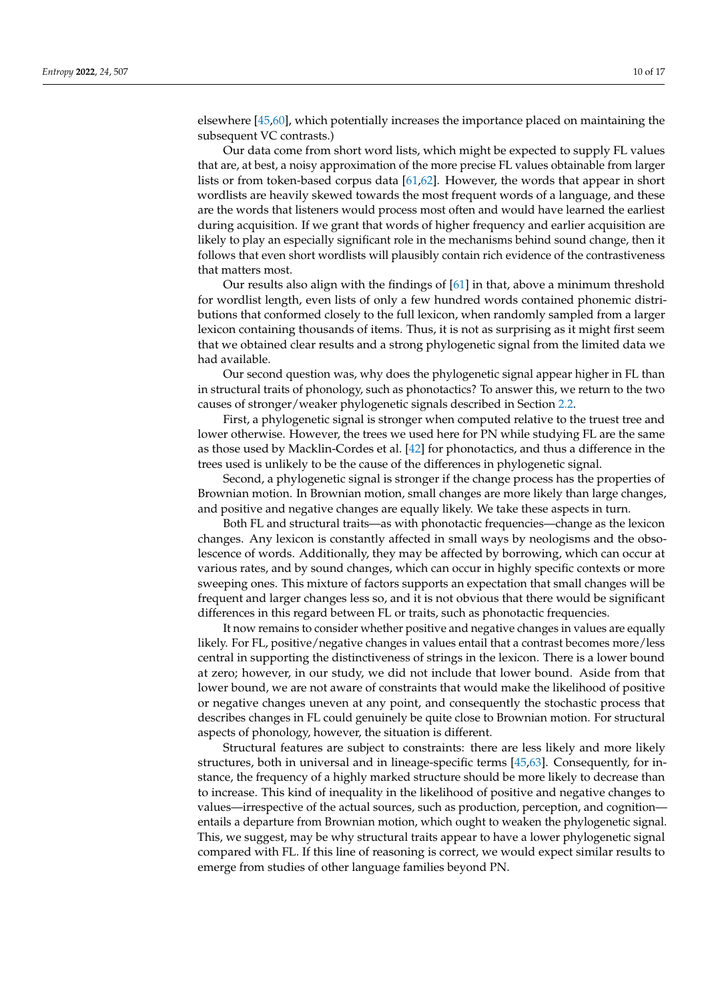elsewhere [\[45,](#page-15-20)[60\]](#page-16-6), which potentially increases the importance placed on maintaining the subsequent VC contrasts.)

Our data come from short word lists, which might be expected to supply FL values that are, at best, a noisy approximation of the more precise FL values obtainable from larger lists or from token-based corpus data [\[61,](#page-16-7)[62\]](#page-16-8). However, the words that appear in short wordlists are heavily skewed towards the most frequent words of a language, and these are the words that listeners would process most often and would have learned the earliest during acquisition. If we grant that words of higher frequency and earlier acquisition are likely to play an especially significant role in the mechanisms behind sound change, then it follows that even short wordlists will plausibly contain rich evidence of the contrastiveness that matters most.

Our results also align with the findings of [\[61\]](#page-16-7) in that, above a minimum threshold for wordlist length, even lists of only a few hundred words contained phonemic distributions that conformed closely to the full lexicon, when randomly sampled from a larger lexicon containing thousands of items. Thus, it is not as surprising as it might first seem that we obtained clear results and a strong phylogenetic signal from the limited data we had available.

Our second question was, why does the phylogenetic signal appear higher in FL than in structural traits of phonology, such as phonotactics? To answer this, we return to the two causes of stronger/weaker phylogenetic signals described in Section [2.2.](#page-5-0)

First, a phylogenetic signal is stronger when computed relative to the truest tree and lower otherwise. However, the trees we used here for PN while studying FL are the same as those used by Macklin-Cordes et al. [\[42\]](#page-15-17) for phonotactics, and thus a difference in the trees used is unlikely to be the cause of the differences in phylogenetic signal.

Second, a phylogenetic signal is stronger if the change process has the properties of Brownian motion. In Brownian motion, small changes are more likely than large changes, and positive and negative changes are equally likely. We take these aspects in turn.

Both FL and structural traits—as with phonotactic frequencies—change as the lexicon changes. Any lexicon is constantly affected in small ways by neologisms and the obsolescence of words. Additionally, they may be affected by borrowing, which can occur at various rates, and by sound changes, which can occur in highly specific contexts or more sweeping ones. This mixture of factors supports an expectation that small changes will be frequent and larger changes less so, and it is not obvious that there would be significant differences in this regard between FL or traits, such as phonotactic frequencies.

It now remains to consider whether positive and negative changes in values are equally likely. For FL, positive/negative changes in values entail that a contrast becomes more/less central in supporting the distinctiveness of strings in the lexicon. There is a lower bound at zero; however, in our study, we did not include that lower bound. Aside from that lower bound, we are not aware of constraints that would make the likelihood of positive or negative changes uneven at any point, and consequently the stochastic process that describes changes in FL could genuinely be quite close to Brownian motion. For structural aspects of phonology, however, the situation is different.

Structural features are subject to constraints: there are less likely and more likely structures, both in universal and in lineage-specific terms [\[45](#page-15-20)[,63\]](#page-16-9). Consequently, for instance, the frequency of a highly marked structure should be more likely to decrease than to increase. This kind of inequality in the likelihood of positive and negative changes to values—irrespective of the actual sources, such as production, perception, and cognition entails a departure from Brownian motion, which ought to weaken the phylogenetic signal. This, we suggest, may be why structural traits appear to have a lower phylogenetic signal compared with FL. If this line of reasoning is correct, we would expect similar results to emerge from studies of other language families beyond PN.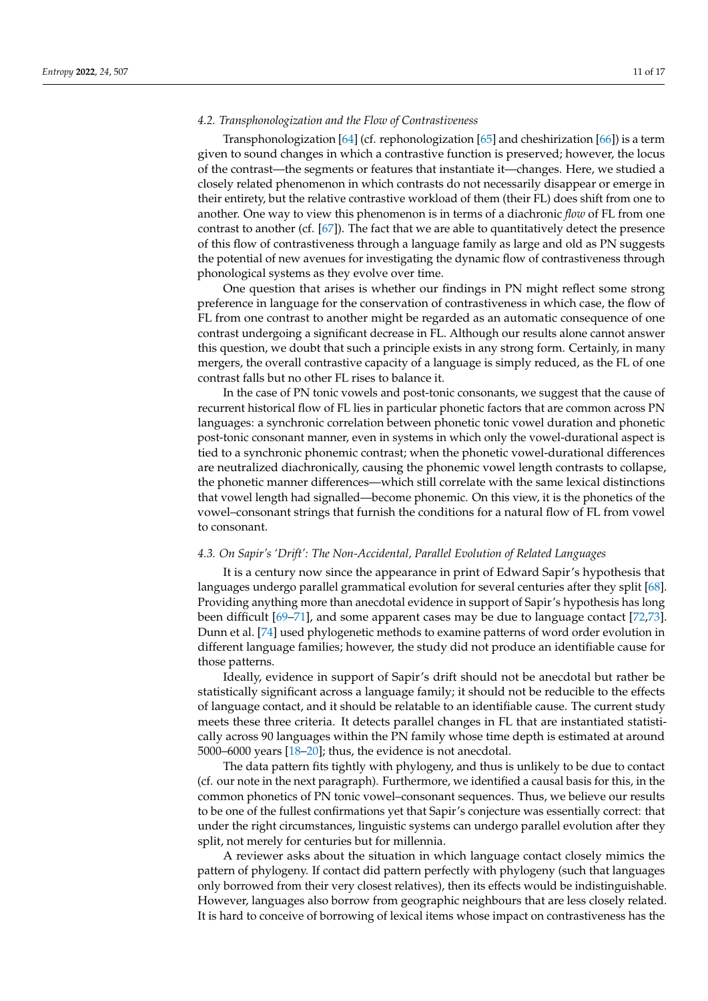#### *4.2. Transphonologization and the Flow of Contrastiveness*

Transphonologization [\[64\]](#page-16-10) (cf. rephonologization [\[65\]](#page-16-11) and cheshirization [\[66\]](#page-16-12)) is a term given to sound changes in which a contrastive function is preserved; however, the locus of the contrast—the segments or features that instantiate it—changes. Here, we studied a closely related phenomenon in which contrasts do not necessarily disappear or emerge in their entirety, but the relative contrastive workload of them (their FL) does shift from one to another. One way to view this phenomenon is in terms of a diachronic *flow* of FL from one contrast to another (cf. [\[67\]](#page-16-13)). The fact that we are able to quantitatively detect the presence of this flow of contrastiveness through a language family as large and old as PN suggests the potential of new avenues for investigating the dynamic flow of contrastiveness through phonological systems as they evolve over time.

One question that arises is whether our findings in PN might reflect some strong preference in language for the conservation of contrastiveness in which case, the flow of FL from one contrast to another might be regarded as an automatic consequence of one contrast undergoing a significant decrease in FL. Although our results alone cannot answer this question, we doubt that such a principle exists in any strong form. Certainly, in many mergers, the overall contrastive capacity of a language is simply reduced, as the FL of one contrast falls but no other FL rises to balance it.

In the case of PN tonic vowels and post-tonic consonants, we suggest that the cause of recurrent historical flow of FL lies in particular phonetic factors that are common across PN languages: a synchronic correlation between phonetic tonic vowel duration and phonetic post-tonic consonant manner, even in systems in which only the vowel-durational aspect is tied to a synchronic phonemic contrast; when the phonetic vowel-durational differences are neutralized diachronically, causing the phonemic vowel length contrasts to collapse, the phonetic manner differences—which still correlate with the same lexical distinctions that vowel length had signalled—become phonemic. On this view, it is the phonetics of the vowel–consonant strings that furnish the conditions for a natural flow of FL from vowel to consonant.

#### *4.3. On Sapir's 'Drift': The Non-Accidental, Parallel Evolution of Related Languages*

It is a century now since the appearance in print of Edward Sapir's hypothesis that languages undergo parallel grammatical evolution for several centuries after they split [\[68\]](#page-16-14). Providing anything more than anecdotal evidence in support of Sapir's hypothesis has long been difficult [\[69](#page-16-15)[–71\]](#page-16-16), and some apparent cases may be due to language contact [\[72,](#page-16-17)[73\]](#page-16-18). Dunn et al. [\[74\]](#page-16-19) used phylogenetic methods to examine patterns of word order evolution in different language families; however, the study did not produce an identifiable cause for those patterns.

Ideally, evidence in support of Sapir's drift should not be anecdotal but rather be statistically significant across a language family; it should not be reducible to the effects of language contact, and it should be relatable to an identifiable cause. The current study meets these three criteria. It detects parallel changes in FL that are instantiated statistically across 90 languages within the PN family whose time depth is estimated at around 5000–6000 years [\[18–](#page-14-15)[20\]](#page-14-16); thus, the evidence is not anecdotal.

The data pattern fits tightly with phylogeny, and thus is unlikely to be due to contact (cf. our note in the next paragraph). Furthermore, we identified a causal basis for this, in the common phonetics of PN tonic vowel–consonant sequences. Thus, we believe our results to be one of the fullest confirmations yet that Sapir's conjecture was essentially correct: that under the right circumstances, linguistic systems can undergo parallel evolution after they split, not merely for centuries but for millennia.

A reviewer asks about the situation in which language contact closely mimics the pattern of phylogeny. If contact did pattern perfectly with phylogeny (such that languages only borrowed from their very closest relatives), then its effects would be indistinguishable. However, languages also borrow from geographic neighbours that are less closely related. It is hard to conceive of borrowing of lexical items whose impact on contrastiveness has the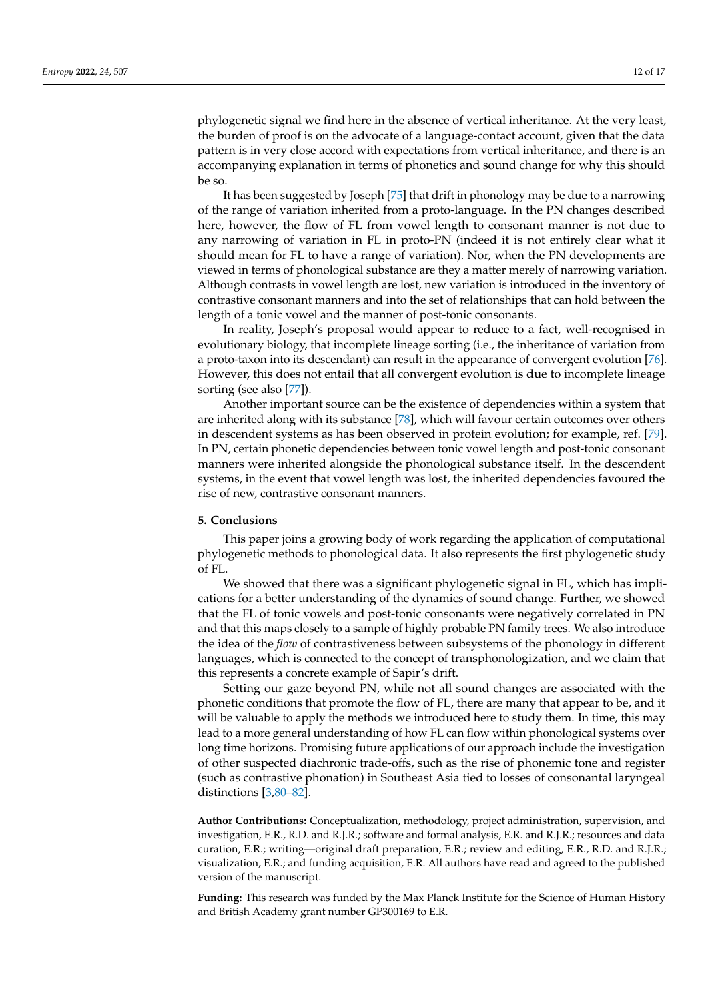phylogenetic signal we find here in the absence of vertical inheritance. At the very least, the burden of proof is on the advocate of a language-contact account, given that the data pattern is in very close accord with expectations from vertical inheritance, and there is an accompanying explanation in terms of phonetics and sound change for why this should be so.

It has been suggested by Joseph [\[75\]](#page-16-20) that drift in phonology may be due to a narrowing of the range of variation inherited from a proto-language. In the PN changes described here, however, the flow of FL from vowel length to consonant manner is not due to any narrowing of variation in FL in proto-PN (indeed it is not entirely clear what it should mean for FL to have a range of variation). Nor, when the PN developments are viewed in terms of phonological substance are they a matter merely of narrowing variation. Although contrasts in vowel length are lost, new variation is introduced in the inventory of contrastive consonant manners and into the set of relationships that can hold between the length of a tonic vowel and the manner of post-tonic consonants.

In reality, Joseph's proposal would appear to reduce to a fact, well-recognised in evolutionary biology, that incomplete lineage sorting (i.e., the inheritance of variation from a proto-taxon into its descendant) can result in the appearance of convergent evolution [\[76\]](#page-16-21). However, this does not entail that all convergent evolution is due to incomplete lineage sorting (see also [\[77\]](#page-16-22)).

Another important source can be the existence of dependencies within a system that are inherited along with its substance [\[78\]](#page-16-23), which will favour certain outcomes over others in descendent systems as has been observed in protein evolution; for example, ref. [\[79\]](#page-16-24). In PN, certain phonetic dependencies between tonic vowel length and post-tonic consonant manners were inherited alongside the phonological substance itself. In the descendent systems, in the event that vowel length was lost, the inherited dependencies favoured the rise of new, contrastive consonant manners.

### **5. Conclusions**

This paper joins a growing body of work regarding the application of computational phylogenetic methods to phonological data. It also represents the first phylogenetic study of FL.

We showed that there was a significant phylogenetic signal in FL, which has implications for a better understanding of the dynamics of sound change. Further, we showed that the FL of tonic vowels and post-tonic consonants were negatively correlated in PN and that this maps closely to a sample of highly probable PN family trees. We also introduce the idea of the *flow* of contrastiveness between subsystems of the phonology in different languages, which is connected to the concept of transphonologization, and we claim that this represents a concrete example of Sapir's drift.

Setting our gaze beyond PN, while not all sound changes are associated with the phonetic conditions that promote the flow of FL, there are many that appear to be, and it will be valuable to apply the methods we introduced here to study them. In time, this may lead to a more general understanding of how FL can flow within phonological systems over long time horizons. Promising future applications of our approach include the investigation of other suspected diachronic trade-offs, such as the rise of phonemic tone and register (such as contrastive phonation) in Southeast Asia tied to losses of consonantal laryngeal distinctions [\[3](#page-14-1)[,80–](#page-16-25)[82\]](#page-16-26).

**Author Contributions:** Conceptualization, methodology, project administration, supervision, and investigation, E.R., R.D. and R.J.R.; software and formal analysis, E.R. and R.J.R.; resources and data curation, E.R.; writing—original draft preparation, E.R.; review and editing, E.R., R.D. and R.J.R.; visualization, E.R.; and funding acquisition, E.R. All authors have read and agreed to the published version of the manuscript.

**Funding:** This research was funded by the Max Planck Institute for the Science of Human History and British Academy grant number GP300169 to E.R.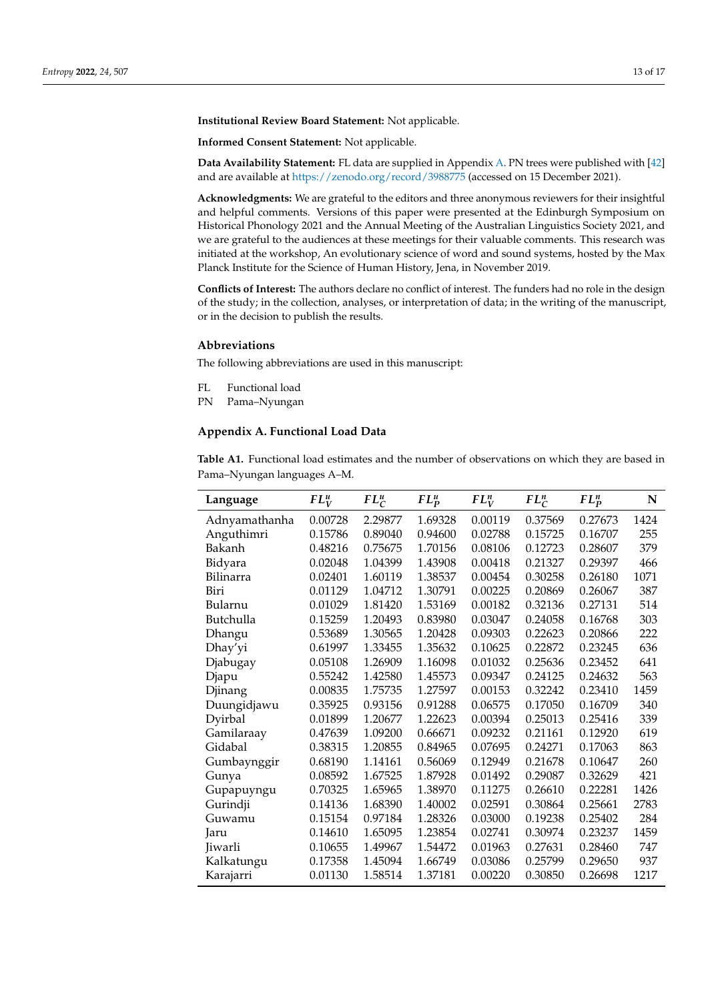**Institutional Review Board Statement:** Not applicable.

**Informed Consent Statement:** Not applicable.

**Data Availability Statement:** FL data are supplied in Appendix [A.](#page-12-0) PN trees were published with [\[42\]](#page-15-17) and are available at <https://zenodo.org/record/3988775> (accessed on 15 December 2021).

**Acknowledgments:** We are grateful to the editors and three anonymous reviewers for their insightful and helpful comments. Versions of this paper were presented at the Edinburgh Symposium on Historical Phonology 2021 and the Annual Meeting of the Australian Linguistics Society 2021, and we are grateful to the audiences at these meetings for their valuable comments. This research was initiated at the workshop, An evolutionary science of word and sound systems, hosted by the Max Planck Institute for the Science of Human History, Jena, in November 2019.

**Conflicts of Interest:** The authors declare no conflict of interest. The funders had no role in the design of the study; in the collection, analyses, or interpretation of data; in the writing of the manuscript, or in the decision to publish the results.

#### **Abbreviations**

The following abbreviations are used in this manuscript:

- FL Functional load
- PN Pama–Nyungan

#### <span id="page-12-0"></span>**Appendix A. Functional Load Data**

**Table A1.** Functional load estimates and the number of observations on which they are based in Pama–Nyungan languages A–M.

| Language      | $FL_V^u$ | $FL^u_C$ | $FL_p^u$ | $FL_V^n$ | $FL_C^n$ | $FL_p^n$ | N    |
|---------------|----------|----------|----------|----------|----------|----------|------|
| Adnyamathanha | 0.00728  | 2.29877  | 1.69328  | 0.00119  | 0.37569  | 0.27673  | 1424 |
| Anguthimri    | 0.15786  | 0.89040  | 0.94600  | 0.02788  | 0.15725  | 0.16707  | 255  |
| Bakanh        | 0.48216  | 0.75675  | 1.70156  | 0.08106  | 0.12723  | 0.28607  | 379  |
| Bidyara       | 0.02048  | 1.04399  | 1.43908  | 0.00418  | 0.21327  | 0.29397  | 466  |
| Bilinarra     | 0.02401  | 1.60119  | 1.38537  | 0.00454  | 0.30258  | 0.26180  | 1071 |
| Biri          | 0.01129  | 1.04712  | 1.30791  | 0.00225  | 0.20869  | 0.26067  | 387  |
| Bularnu       | 0.01029  | 1.81420  | 1.53169  | 0.00182  | 0.32136  | 0.27131  | 514  |
| Butchulla     | 0.15259  | 1.20493  | 0.83980  | 0.03047  | 0.24058  | 0.16768  | 303  |
| Dhangu        | 0.53689  | 1.30565  | 1.20428  | 0.09303  | 0.22623  | 0.20866  | 222  |
| Dhay'yi       | 0.61997  | 1.33455  | 1.35632  | 0.10625  | 0.22872  | 0.23245  | 636  |
| Djabugay      | 0.05108  | 1.26909  | 1.16098  | 0.01032  | 0.25636  | 0.23452  | 641  |
| Djapu         | 0.55242  | 1.42580  | 1.45573  | 0.09347  | 0.24125  | 0.24632  | 563  |
| Djinang       | 0.00835  | 1.75735  | 1.27597  | 0.00153  | 0.32242  | 0.23410  | 1459 |
| Duungidjawu   | 0.35925  | 0.93156  | 0.91288  | 0.06575  | 0.17050  | 0.16709  | 340  |
| Dyirbal       | 0.01899  | 1.20677  | 1.22623  | 0.00394  | 0.25013  | 0.25416  | 339  |
| Gamilaraay    | 0.47639  | 1.09200  | 0.66671  | 0.09232  | 0.21161  | 0.12920  | 619  |
| Gidabal       | 0.38315  | 1.20855  | 0.84965  | 0.07695  | 0.24271  | 0.17063  | 863  |
| Gumbaynggir   | 0.68190  | 1.14161  | 0.56069  | 0.12949  | 0.21678  | 0.10647  | 260  |
| Gunya         | 0.08592  | 1.67525  | 1.87928  | 0.01492  | 0.29087  | 0.32629  | 421  |
| Gupapuyngu    | 0.70325  | 1.65965  | 1.38970  | 0.11275  | 0.26610  | 0.22281  | 1426 |
| Gurindji      | 0.14136  | 1.68390  | 1.40002  | 0.02591  | 0.30864  | 0.25661  | 2783 |
| Guwamu        | 0.15154  | 0.97184  | 1.28326  | 0.03000  | 0.19238  | 0.25402  | 284  |
| Jaru          | 0.14610  | 1.65095  | 1.23854  | 0.02741  | 0.30974  | 0.23237  | 1459 |
| Jiwarli       | 0.10655  | 1.49967  | 1.54472  | 0.01963  | 0.27631  | 0.28460  | 747  |
| Kalkatungu    | 0.17358  | 1.45094  | 1.66749  | 0.03086  | 0.25799  | 0.29650  | 937  |
| Karajarri     | 0.01130  | 1.58514  | 1.37181  | 0.00220  | 0.30850  | 0.26698  | 1217 |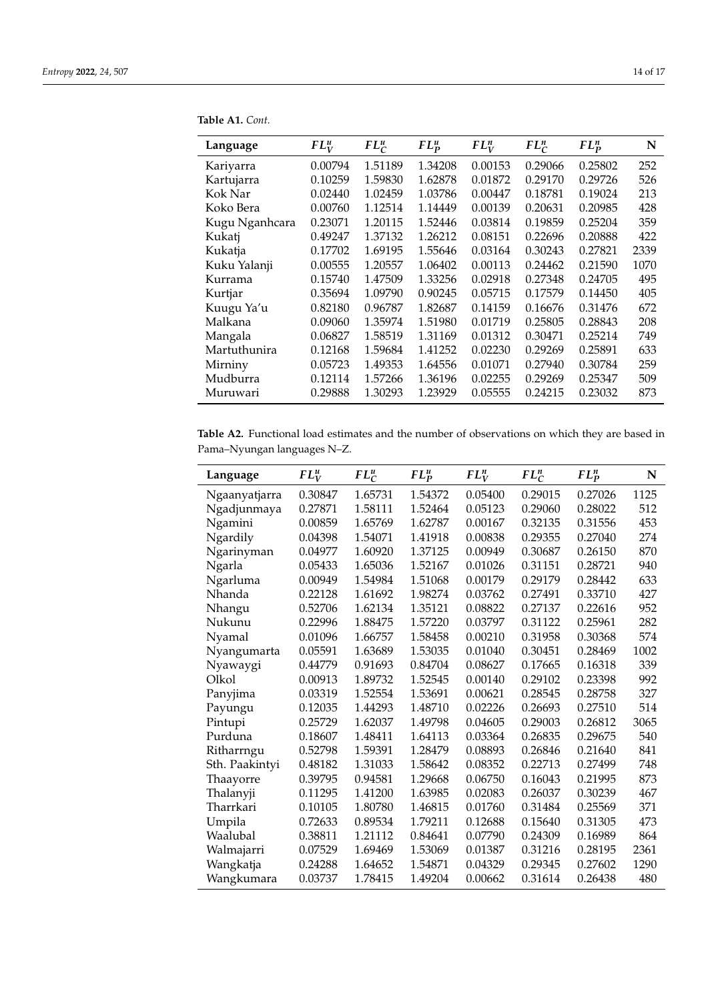| Language       | $FL_V^u$ | $FL_C^u$ | $FL_p^u$ | $FL_V^n$ | $FL_C^n$ | $FL_p^n$ | N    |
|----------------|----------|----------|----------|----------|----------|----------|------|
| Kariyarra      | 0.00794  | 1.51189  | 1.34208  | 0.00153  | 0.29066  | 0.25802  | 252  |
| Kartujarra     | 0.10259  | 1.59830  | 1.62878  | 0.01872  | 0.29170  | 0.29726  | 526  |
| Kok Nar        | 0.02440  | 1.02459  | 1.03786  | 0.00447  | 0.18781  | 0.19024  | 213  |
| Koko Bera      | 0.00760  | 1.12514  | 1.14449  | 0.00139  | 0.20631  | 0.20985  | 428  |
| Kugu Nganhcara | 0.23071  | 1.20115  | 1.52446  | 0.03814  | 0.19859  | 0.25204  | 359  |
| Kukatj         | 0.49247  | 1.37132  | 1.26212  | 0.08151  | 0.22696  | 0.20888  | 422  |
| Kukatja        | 0.17702  | 1.69195  | 1.55646  | 0.03164  | 0.30243  | 0.27821  | 2339 |
| Kuku Yalanji   | 0.00555  | 1.20557  | 1.06402  | 0.00113  | 0.24462  | 0.21590  | 1070 |
| Kurrama        | 0.15740  | 1.47509  | 1.33256  | 0.02918  | 0.27348  | 0.24705  | 495  |
| Kurtjar        | 0.35694  | 1.09790  | 0.90245  | 0.05715  | 0.17579  | 0.14450  | 405  |
| Kuugu Ya'u     | 0.82180  | 0.96787  | 1.82687  | 0.14159  | 0.16676  | 0.31476  | 672  |
| Malkana        | 0.09060  | 1.35974  | 1.51980  | 0.01719  | 0.25805  | 0.28843  | 208  |
| Mangala        | 0.06827  | 1.58519  | 1.31169  | 0.01312  | 0.30471  | 0.25214  | 749  |
| Martuthunira   | 0.12168  | 1.59684  | 1.41252  | 0.02230  | 0.29269  | 0.25891  | 633  |
| Mirniny        | 0.05723  | 1.49353  | 1.64556  | 0.01071  | 0.27940  | 0.30784  | 259  |
| Mudburra       | 0.12114  | 1.57266  | 1.36196  | 0.02255  | 0.29269  | 0.25347  | 509  |
| Muruwari       | 0.29888  | 1.30293  | 1.23929  | 0.05555  | 0.24215  | 0.23032  | 873  |

**Table A1.** *Cont.*

**Table A2.** Functional load estimates and the number of observations on which they are based in Pama–Nyungan languages N–Z.

| Language       | $FL_V^u$ | $FL_C^u$ | $FL_p^u$ | $FL_V^n$ | $FL_C^n$ | $FL_P^n$ | N    |
|----------------|----------|----------|----------|----------|----------|----------|------|
| Ngaanyatjarra  | 0.30847  | 1.65731  | 1.54372  | 0.05400  | 0.29015  | 0.27026  | 1125 |
| Ngadjunmaya    | 0.27871  | 1.58111  | 1.52464  | 0.05123  | 0.29060  | 0.28022  | 512  |
| Ngamini        | 0.00859  | 1.65769  | 1.62787  | 0.00167  | 0.32135  | 0.31556  | 453  |
| Ngardily       | 0.04398  | 1.54071  | 1.41918  | 0.00838  | 0.29355  | 0.27040  | 274  |
| Ngarinyman     | 0.04977  | 1.60920  | 1.37125  | 0.00949  | 0.30687  | 0.26150  | 870  |
| Ngarla         | 0.05433  | 1.65036  | 1.52167  | 0.01026  | 0.31151  | 0.28721  | 940  |
| Ngarluma       | 0.00949  | 1.54984  | 1.51068  | 0.00179  | 0.29179  | 0.28442  | 633  |
| Nhanda         | 0.22128  | 1.61692  | 1.98274  | 0.03762  | 0.27491  | 0.33710  | 427  |
| Nhangu         | 0.52706  | 1.62134  | 1.35121  | 0.08822  | 0.27137  | 0.22616  | 952  |
| Nukunu         | 0.22996  | 1.88475  | 1.57220  | 0.03797  | 0.31122  | 0.25961  | 282  |
| Nyamal         | 0.01096  | 1.66757  | 1.58458  | 0.00210  | 0.31958  | 0.30368  | 574  |
| Nyangumarta    | 0.05591  | 1.63689  | 1.53035  | 0.01040  | 0.30451  | 0.28469  | 1002 |
| Nyawaygi       | 0.44779  | 0.91693  | 0.84704  | 0.08627  | 0.17665  | 0.16318  | 339  |
| Olkol          | 0.00913  | 1.89732  | 1.52545  | 0.00140  | 0.29102  | 0.23398  | 992  |
| Panyjima       | 0.03319  | 1.52554  | 1.53691  | 0.00621  | 0.28545  | 0.28758  | 327  |
| Payungu        | 0.12035  | 1.44293  | 1.48710  | 0.02226  | 0.26693  | 0.27510  | 514  |
| Pintupi        | 0.25729  | 1.62037  | 1.49798  | 0.04605  | 0.29003  | 0.26812  | 3065 |
| Purduna        | 0.18607  | 1.48411  | 1.64113  | 0.03364  | 0.26835  | 0.29675  | 540  |
| Ritharrngu     | 0.52798  | 1.59391  | 1.28479  | 0.08893  | 0.26846  | 0.21640  | 841  |
| Sth. Paakintyi | 0.48182  | 1.31033  | 1.58642  | 0.08352  | 0.22713  | 0.27499  | 748  |
| Thaayorre      | 0.39795  | 0.94581  | 1.29668  | 0.06750  | 0.16043  | 0.21995  | 873  |
| Thalanyji      | 0.11295  | 1.41200  | 1.63985  | 0.02083  | 0.26037  | 0.30239  | 467  |
| Tharrkari      | 0.10105  | 1.80780  | 1.46815  | 0.01760  | 0.31484  | 0.25569  | 371  |
| Umpila         | 0.72633  | 0.89534  | 1.79211  | 0.12688  | 0.15640  | 0.31305  | 473  |
| Waalubal       | 0.38811  | 1.21112  | 0.84641  | 0.07790  | 0.24309  | 0.16989  | 864  |
| Walmajarri     | 0.07529  | 1.69469  | 1.53069  | 0.01387  | 0.31216  | 0.28195  | 2361 |
| Wangkatja      | 0.24288  | 1.64652  | 1.54871  | 0.04329  | 0.29345  | 0.27602  | 1290 |
| Wangkumara     | 0.03737  | 1.78415  | 1.49204  | 0.00662  | 0.31614  | 0.26438  | 480  |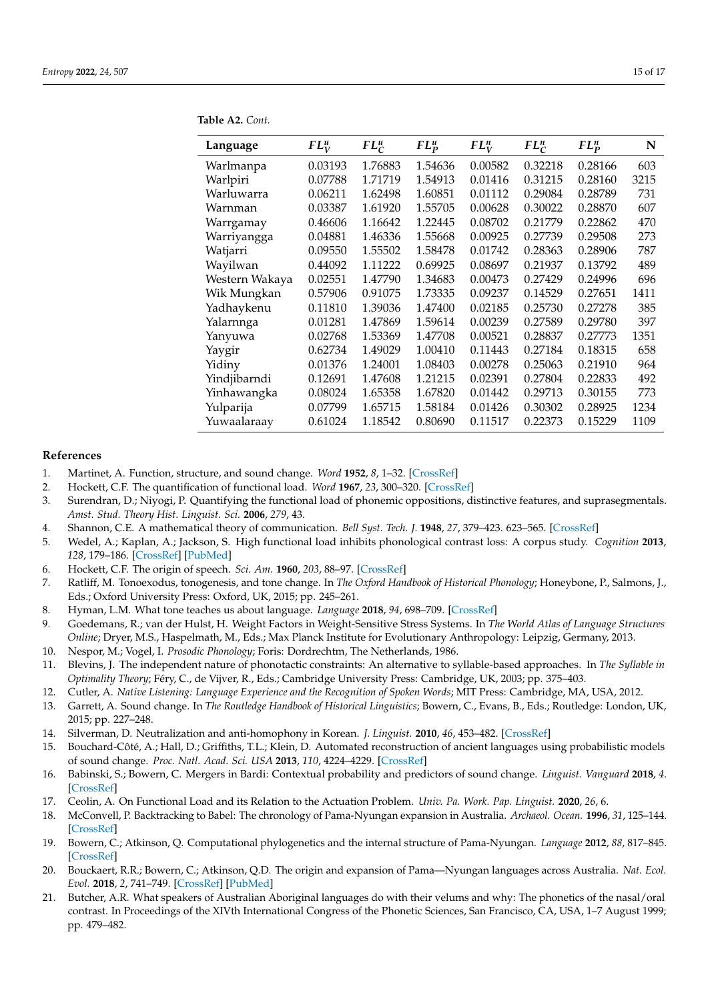| Language       | $FL_V^u$ | $FL_C^u$ | $FL_p^u$ | $FL_U^n$ | $FL_C^n$ | $FL_p^n$ | N    |
|----------------|----------|----------|----------|----------|----------|----------|------|
| Warlmanpa      | 0.03193  | 1.76883  | 1.54636  | 0.00582  | 0.32218  | 0.28166  | 603  |
| Warlpiri       | 0.07788  | 1.71719  | 1.54913  | 0.01416  | 0.31215  | 0.28160  | 3215 |
| Warluwarra     | 0.06211  | 1.62498  | 1.60851  | 0.01112  | 0.29084  | 0.28789  | 731  |
| Warnman        | 0.03387  | 1.61920  | 1.55705  | 0.00628  | 0.30022  | 0.28870  | 607  |
| Warrgamay      | 0.46606  | 1.16642  | 1.22445  | 0.08702  | 0.21779  | 0.22862  | 470  |
| Warriyangga    | 0.04881  | 1.46336  | 1.55668  | 0.00925  | 0.27739  | 0.29508  | 273  |
| Watjarri       | 0.09550  | 1.55502  | 1.58478  | 0.01742  | 0.28363  | 0.28906  | 787  |
| Wayilwan       | 0.44092  | 1.11222  | 0.69925  | 0.08697  | 0.21937  | 0.13792  | 489  |
| Western Wakaya | 0.02551  | 1.47790  | 1.34683  | 0.00473  | 0.27429  | 0.24996  | 696  |
| Wik Mungkan    | 0.57906  | 0.91075  | 1.73335  | 0.09237  | 0.14529  | 0.27651  | 1411 |
| Yadhaykenu     | 0.11810  | 1.39036  | 1.47400  | 0.02185  | 0.25730  | 0.27278  | 385  |
| Yalarnnga      | 0.01281  | 1.47869  | 1.59614  | 0.00239  | 0.27589  | 0.29780  | 397  |
| Yanyuwa        | 0.02768  | 1.53369  | 1.47708  | 0.00521  | 0.28837  | 0.27773  | 1351 |
| Yaygir         | 0.62734  | 1.49029  | 1.00410  | 0.11443  | 0.27184  | 0.18315  | 658  |
| Yidiny         | 0.01376  | 1.24001  | 1.08403  | 0.00278  | 0.25063  | 0.21910  | 964  |
| Yindjibarndi   | 0.12691  | 1.47608  | 1.21215  | 0.02391  | 0.27804  | 0.22833  | 492  |
| Yinhawangka    | 0.08024  | 1.65358  | 1.67820  | 0.01442  | 0.29713  | 0.30155  | 773  |
| Yulparija      | 0.07799  | 1.65715  | 1.58184  | 0.01426  | 0.30302  | 0.28925  | 1234 |
| Yuwaalaraay    | 0.61024  | 1.18542  | 0.80690  | 0.11517  | 0.22373  | 0.15229  | 1109 |

**Table A2.** *Cont.*

#### **References**

- <span id="page-14-0"></span>1. Martinet, A. Function, structure, and sound change. *Word* **1952**, *8*, 1–32. [\[CrossRef\]](http://doi.org/10.1080/00437956.1952.11659416)
- <span id="page-14-2"></span>2. Hockett, C.F. The quantification of functional load. *Word* **1967**, *23*, 300–320. [\[CrossRef\]](http://dx.doi.org/10.1080/00437956.1967.11435484)
- <span id="page-14-1"></span>3. Surendran, D.; Niyogi, P. Quantifying the functional load of phonemic oppositions, distinctive features, and suprasegmentals. *Amst. Stud. Theory Hist. Linguist. Sci.* **2006**, *279*, 43.
- <span id="page-14-3"></span>4. Shannon, C.E. A mathematical theory of communication. *Bell Syst. Tech. J.* **1948**, *27*, 379–423. 623–565. [\[CrossRef\]](http://dx.doi.org/10.1002/j.1538-7305.1948.tb01338.x)
- <span id="page-14-4"></span>5. Wedel, A.; Kaplan, A.; Jackson, S. High functional load inhibits phonological contrast loss: A corpus study. *Cognition* **2013**, *128*, 179–186. [\[CrossRef\]](http://dx.doi.org/10.1016/j.cognition.2013.03.002) [\[PubMed\]](http://www.ncbi.nlm.nih.gov/pubmed/23685207)
- <span id="page-14-5"></span>6. Hockett, C.F. The origin of speech. *Sci. Am.* **1960**, *203*, 88–97. [\[CrossRef\]](http://dx.doi.org/10.1038/scientificamerican0960-88)
- <span id="page-14-6"></span>7. Ratliff, M. Tonoexodus, tonogenesis, and tone change. In *The Oxford Handbook of Historical Phonology*; Honeybone, P., Salmons, J., Eds.; Oxford University Press: Oxford, UK, 2015; pp. 245–261.
- 8. Hyman, L.M. What tone teaches us about language. *Language* **2018**, *94*, 698–709. [\[CrossRef\]](http://dx.doi.org/10.1353/lan.2018.0040)
- <span id="page-14-7"></span>9. Goedemans, R.; van der Hulst, H. Weight Factors in Weight-Sensitive Stress Systems. In *The World Atlas of Language Structures Online*; Dryer, M.S., Haspelmath, M., Eds.; Max Planck Institute for Evolutionary Anthropology: Leipzig, Germany, 2013.
- <span id="page-14-8"></span>10. Nespor, M.; Vogel, I. *Prosodic Phonology*; Foris: Dordrechtm, The Netherlands, 1986.
- <span id="page-14-9"></span>11. Blevins, J. The independent nature of phonotactic constraints: An alternative to syllable-based approaches. In *The Syllable in Optimality Theory*; Féry, C., de Vijver, R., Eds.; Cambridge University Press: Cambridge, UK, 2003; pp. 375–403.
- <span id="page-14-10"></span>12. Cutler, A. *Native Listening: Language Experience and the Recognition of Spoken Words*; MIT Press: Cambridge, MA, USA, 2012.
- <span id="page-14-11"></span>13. Garrett, A. Sound change. In *The Routledge Handbook of Historical Linguistics*; Bowern, C., Evans, B., Eds.; Routledge: London, UK, 2015; pp. 227–248.
- <span id="page-14-12"></span>14. Silverman, D. Neutralization and anti-homophony in Korean. *J. Linguist.* **2010**, *46*, 453–482. [\[CrossRef\]](http://dx.doi.org/10.1017/S0022226709990247)
- <span id="page-14-19"></span>15. Bouchard-Côté, A.; Hall, D.; Griffiths, T.L.; Klein, D. Automated reconstruction of ancient languages using probabilistic models of sound change. *Proc. Natl. Acad. Sci. USA* **2013**, *110*, 4224–4229. [\[CrossRef\]](http://dx.doi.org/10.1073/pnas.1204678110)
- <span id="page-14-13"></span>16. Babinski, S.; Bowern, C. Mergers in Bardi: Contextual probability and predictors of sound change. *Linguist. Vanguard* **2018**, *4*. [\[CrossRef\]](http://dx.doi.org/10.1515/lingvan-2017-0024)
- <span id="page-14-14"></span>17. Ceolin, A. On Functional Load and its Relation to the Actuation Problem. *Univ. Pa. Work. Pap. Linguist.* **2020**, *26*, 6.
- <span id="page-14-15"></span>18. McConvell, P. Backtracking to Babel: The chronology of Pama-Nyungan expansion in Australia. *Archaeol. Ocean.* **1996**, *31*, 125–144. [\[CrossRef\]](http://dx.doi.org/10.1002/j.1834-4453.1996.tb00356.x)
- <span id="page-14-18"></span>19. Bowern, C.; Atkinson, Q. Computational phylogenetics and the internal structure of Pama-Nyungan. *Language* **2012**, *88*, 817–845. [\[CrossRef\]](http://dx.doi.org/10.1353/lan.2012.0081)
- <span id="page-14-16"></span>20. Bouckaert, R.R.; Bowern, C.; Atkinson, Q.D. The origin and expansion of Pama—Nyungan languages across Australia. *Nat. Ecol. Evol.* **2018**, *2*, 741–749. [\[CrossRef\]](http://dx.doi.org/10.1038/s41559-018-0489-3) [\[PubMed\]](http://www.ncbi.nlm.nih.gov/pubmed/29531347)
- <span id="page-14-17"></span>21. Butcher, A.R. What speakers of Australian Aboriginal languages do with their velums and why: The phonetics of the nasal/oral contrast. In Proceedings of the XIVth International Congress of the Phonetic Sciences, San Francisco, CA, USA, 1–7 August 1999; pp. 479–482.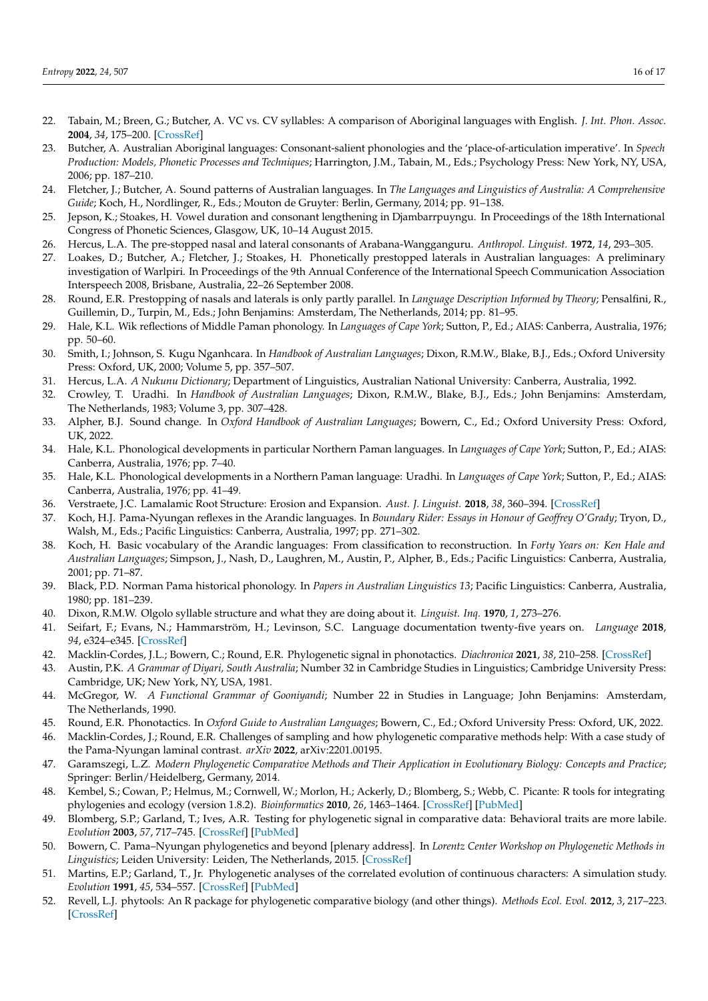- <span id="page-15-1"></span>22. Tabain, M.; Breen, G.; Butcher, A. VC vs. CV syllables: A comparison of Aboriginal languages with English. *J. Int. Phon. Assoc.* **2004**, *34*, 175–200. [\[CrossRef\]](http://dx.doi.org/10.1017/S0025100304001719)
- 23. Butcher, A. Australian Aboriginal languages: Consonant-salient phonologies and the 'place-of-articulation imperative'. In *Speech Production: Models, Phonetic Processes and Techniques*; Harrington, J.M., Tabain, M., Eds.; Psychology Press: New York, NY, USA, 2006; pp. 187–210.
- 24. Fletcher, J.; Butcher, A. Sound patterns of Australian languages. In *The Languages and Linguistics of Australia: A Comprehensive Guide*; Koch, H., Nordlinger, R., Eds.; Mouton de Gruyter: Berlin, Germany, 2014; pp. 91–138.
- <span id="page-15-0"></span>25. Jepson, K.; Stoakes, H. Vowel duration and consonant lengthening in Djambarrpuyngu. In Proceedings of the 18th International Congress of Phonetic Sciences, Glasgow, UK, 10–14 August 2015.
- <span id="page-15-2"></span>26. Hercus, L.A. The pre-stopped nasal and lateral consonants of Arabana-Wangganguru. *Anthropol. Linguist.* **1972**, *14*, 293–305.
- 27. Loakes, D.; Butcher, A.; Fletcher, J.; Stoakes, H. Phonetically prestopped laterals in Australian languages: A preliminary investigation of Warlpiri. In Proceedings of the 9th Annual Conference of the International Speech Communication Association Interspeech 2008, Brisbane, Australia, 22–26 September 2008.
- <span id="page-15-3"></span>28. Round, E.R. Prestopping of nasals and laterals is only partly parallel. In *Language Description Informed by Theory*; Pensalfini, R., Guillemin, D., Turpin, M., Eds.; John Benjamins: Amsterdam, The Netherlands, 2014; pp. 81–95.
- <span id="page-15-4"></span>29. Hale, K.L. Wik reflections of Middle Paman phonology. In *Languages of Cape York*; Sutton, P., Ed.; AIAS: Canberra, Australia, 1976; pp. 50–60.
- <span id="page-15-5"></span>30. Smith, I.; Johnson, S. Kugu Nganhcara. In *Handbook of Australian Languages*; Dixon, R.M.W., Blake, B.J., Eds.; Oxford University Press: Oxford, UK, 2000; Volume 5, pp. 357–507.
- <span id="page-15-6"></span>31. Hercus, L.A. *A Nukunu Dictionary*; Department of Linguistics, Australian National University: Canberra, Australia, 1992.
- <span id="page-15-7"></span>32. Crowley, T. Uradhi. In *Handbook of Australian Languages*; Dixon, R.M.W., Blake, B.J., Eds.; John Benjamins: Amsterdam, The Netherlands, 1983; Volume 3, pp. 307–428.
- <span id="page-15-8"></span>33. Alpher, B.J. Sound change. In *Oxford Handbook of Australian Languages*; Bowern, C., Ed.; Oxford University Press: Oxford, UK, 2022.
- <span id="page-15-9"></span>34. Hale, K.L. Phonological developments in particular Northern Paman languages. In *Languages of Cape York*; Sutton, P., Ed.; AIAS: Canberra, Australia, 1976; pp. 7–40.
- <span id="page-15-10"></span>35. Hale, K.L. Phonological developments in a Northern Paman language: Uradhi. In *Languages of Cape York*; Sutton, P., Ed.; AIAS: Canberra, Australia, 1976; pp. 41–49.
- <span id="page-15-11"></span>36. Verstraete, J.C. Lamalamic Root Structure: Erosion and Expansion. *Aust. J. Linguist.* **2018**, *38*, 360–394. [\[CrossRef\]](http://dx.doi.org/10.1080/07268602.2018.1470457)
- <span id="page-15-12"></span>37. Koch, H.J. Pama-Nyungan reflexes in the Arandic languages. In *Boundary Rider: Essays in Honour of Geoffrey O'Grady*; Tryon, D., Walsh, M., Eds.; Pacific Linguistics: Canberra, Australia, 1997; pp. 271–302.
- <span id="page-15-13"></span>38. Koch, H. Basic vocabulary of the Arandic languages: From classification to reconstruction. In *Forty Years on: Ken Hale and Australian Languages*; Simpson, J., Nash, D., Laughren, M., Austin, P., Alpher, B., Eds.; Pacific Linguistics: Canberra, Australia, 2001; pp. 71–87.
- <span id="page-15-14"></span>39. Black, P.D. Norman Pama historical phonology. In *Papers in Australian Linguistics 13*; Pacific Linguistics: Canberra, Australia, 1980; pp. 181–239.
- <span id="page-15-15"></span>40. Dixon, R.M.W. Olgolo syllable structure and what they are doing about it. *Linguist. Inq.* **1970**, *1*, 273–276.
- <span id="page-15-16"></span>41. Seifart, F.; Evans, N.; Hammarström, H.; Levinson, S.C. Language documentation twenty-five years on. *Language* **2018**, *94*, e324–e345. [\[CrossRef\]](http://dx.doi.org/10.1353/lan.2018.0070)
- <span id="page-15-17"></span>42. Macklin-Cordes, J.L.; Bowern, C.; Round, E.R. Phylogenetic signal in phonotactics. *Diachronica* **2021**, *38*, 210–258. [\[CrossRef\]](http://dx.doi.org/10.1075/dia.20004.mac)
- <span id="page-15-18"></span>43. Austin, P.K. *A Grammar of Diyari, South Australia*; Number 32 in Cambridge Studies in Linguistics; Cambridge University Press: Cambridge, UK; New York, NY, USA, 1981.
- <span id="page-15-19"></span>44. McGregor, W. *A Functional Grammar of Gooniyandi*; Number 22 in Studies in Language; John Benjamins: Amsterdam, The Netherlands, 1990.
- <span id="page-15-20"></span>45. Round, E.R. Phonotactics. In *Oxford Guide to Australian Languages*; Bowern, C., Ed.; Oxford University Press: Oxford, UK, 2022.
- <span id="page-15-21"></span>46. Macklin-Cordes, J.; Round, E.R. Challenges of sampling and how phylogenetic comparative methods help: With a case study of the Pama-Nyungan laminal contrast. *arXiv* **2022**, arXiv:2201.00195.
- <span id="page-15-22"></span>47. Garamszegi, L.Z. *Modern Phylogenetic Comparative Methods and Their Application in Evolutionary Biology: Concepts and Practice*; Springer: Berlin/Heidelberg, Germany, 2014.
- <span id="page-15-23"></span>48. Kembel, S.; Cowan, P.; Helmus, M.; Cornwell, W.; Morlon, H.; Ackerly, D.; Blomberg, S.; Webb, C. Picante: R tools for integrating phylogenies and ecology (version 1.8.2). *Bioinformatics* **2010**, *26*, 1463–1464. [\[CrossRef\]](http://dx.doi.org/10.1093/bioinformatics/btq166) [\[PubMed\]](http://www.ncbi.nlm.nih.gov/pubmed/20395285)
- <span id="page-15-24"></span>49. Blomberg, S.P.; Garland, T.; Ives, A.R. Testing for phylogenetic signal in comparative data: Behavioral traits are more labile. *Evolution* **2003**, *57*, 717–745. [\[CrossRef\]](http://dx.doi.org/10.1111/j.0014-3820.2003.tb00285.x) [\[PubMed\]](http://www.ncbi.nlm.nih.gov/pubmed/12778543)
- <span id="page-15-25"></span>50. Bowern, C. Pama–Nyungan phylogenetics and beyond [plenary address]. In *Lorentz Center Workshop on Phylogenetic Methods in Linguistics*; Leiden University: Leiden, The Netherlands, 2015. [\[CrossRef\]](http://dx.doi.org/10.5281/zenodo.3032846)
- <span id="page-15-26"></span>51. Martins, E.P.; Garland, T., Jr. Phylogenetic analyses of the correlated evolution of continuous characters: A simulation study. *Evolution* **1991**, *45*, 534–557. [\[CrossRef\]](http://dx.doi.org/10.1111/j.1558-5646.1991.tb04328.x) [\[PubMed\]](http://www.ncbi.nlm.nih.gov/pubmed/28568838)
- <span id="page-15-27"></span>52. Revell, L.J. phytools: An R package for phylogenetic comparative biology (and other things). *Methods Ecol. Evol.* **2012**, *3*, 217–223. [\[CrossRef\]](http://dx.doi.org/10.1111/j.2041-210X.2011.00169.x)